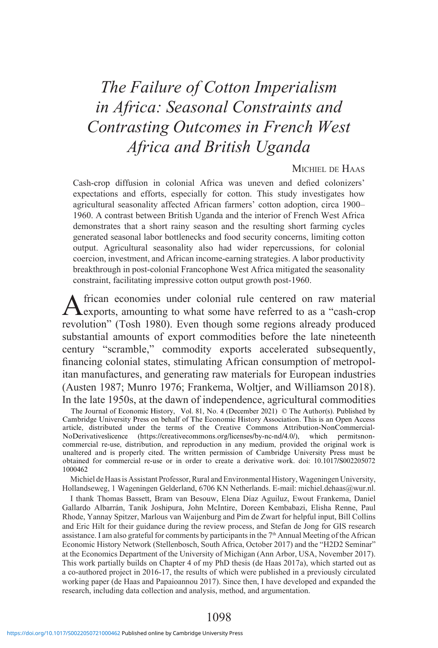# *The Failure of Cotton Imperialism in Africa: Seasonal Constraints and Contrasting Outcomes in French West Africa and British Uganda*

### Michiel de Haas

Cash-crop diffusion in colonial Africa was uneven and defied colonizers' expectations and efforts, especially for cotton. This study investigates how agricultural seasonality affected African farmers' cotton adoption, circa 1900– 1960. A contrast between British Uganda and the interior of French West Africa demonstrates that a short rainy season and the resulting short farming cycles generated seasonal labor bottlenecks and food security concerns, limiting cotton output. Agricultural seasonality also had wider repercussions, for colonial coercion, investment, and African income-earning strategies. A labor productivity breakthrough in post-colonial Francophone West Africa mitigated the seasonality constraint, facilitating impressive cotton output growth post-1960.

African economies under colonial rule centered on raw material exports, amounting to what some have referred to as a "cash-crop revolution" (Tosh 1980). Even though some regions already produced substantial amounts of export commodities before the late nineteenth century "scramble," commodity exports accelerated subsequently, financing colonial states, stimulating African consumption of metropolitan manufactures, and generating raw materials for European industries (Austen 1987; Munro 1976; Frankema, Woltjer, and Williamson 2018). In the late 1950s, at the dawn of independence, agricultural commodities

The Journal of Economic History, Vol. 81, No. 4 (December 2021) © The Author(s). Published by Cambridge University Press on behalf of The Economic History Association. This is an Open Access article, distributed under the terms of the Creative Commons Attribution-NonCommercial-NoDerivativeslicence (https://creativecommons.org/licenses/by-nc-nd/4.0/), which permitsnoncommercial re-use, distribution, and reproduction in any medium, provided the original work is unaltered and is properly cited. The written permission of Cambridge University Press must be obtained for commercial re-use or in order to create a derivative work. doi: 10.1017/S002205072 1000462

Michiel de Haas is Assistant Professor, Rural and Environmental History, Wageningen University, Hollandseweg, 1 Wageningen Gelderland, 6706 KN Netherlands. E-mail: michiel.dehaas@wur.nl.

I thank Thomas Bassett, Bram van Besouw, Elena Díaz Aguiluz, Ewout Frankema, Daniel Gallardo Albarrán, Tanik Joshipura, John McIntire, Doreen Kembabazi, Elisha Renne, Paul Rhode, Yannay Spitzer, Marlous van Waijenburg and Pim de Zwart for helpful input, Bill Collins and Eric Hilt for their guidance during the review process, and Stefan de Jong for GIS research assistance. I am also grateful for comments by participants in the  $7<sup>th</sup>$  Annual Meeting of the African Economic History Network (Stellenbosch, South Africa, October 2017) and the "H2D2 Seminar" at the Economics Department of the University of Michigan (Ann Arbor, USA, November 2017). This work partially builds on Chapter 4 of my PhD thesis (de Haas 2017a), which started out as a co-authored project in 2016-17, the results of which were published in a previously circulated working paper (de Haas and Papaioannou 2017). Since then, I have developed and expanded the research, including data collection and analysis, method, and argumentation.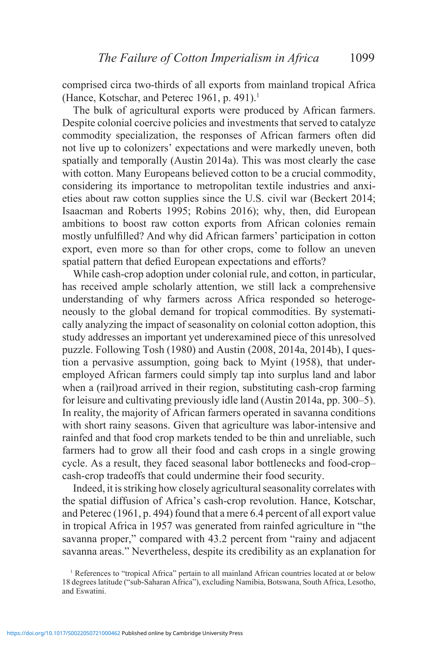comprised circa two-thirds of all exports from mainland tropical Africa (Hance, Kotschar, and Peterec 1961, p. 491).<sup>1</sup>

The bulk of agricultural exports were produced by African farmers. Despite colonial coercive policies and investments that served to catalyze commodity specialization, the responses of African farmers often did not live up to colonizers' expectations and were markedly uneven, both spatially and temporally (Austin 2014a). This was most clearly the case with cotton. Many Europeans believed cotton to be a crucial commodity, considering its importance to metropolitan textile industries and anxieties about raw cotton supplies since the U.S. civil war (Beckert 2014; Isaacman and Roberts 1995; Robins 2016); why, then, did European ambitions to boost raw cotton exports from African colonies remain mostly unfulfilled? And why did African farmers' participation in cotton export, even more so than for other crops, come to follow an uneven spatial pattern that defied European expectations and efforts?

While cash-crop adoption under colonial rule, and cotton, in particular, has received ample scholarly attention, we still lack a comprehensive understanding of why farmers across Africa responded so heterogeneously to the global demand for tropical commodities. By systematically analyzing the impact of seasonality on colonial cotton adoption, this study addresses an important yet underexamined piece of this unresolved puzzle. Following Tosh (1980) and Austin (2008, 2014a, 2014b), I question a pervasive assumption, going back to Myint (1958), that underemployed African farmers could simply tap into surplus land and labor when a (rail)road arrived in their region, substituting cash-crop farming for leisure and cultivating previously idle land (Austin 2014a, pp. 300–5). In reality, the majority of African farmers operated in savanna conditions with short rainy seasons. Given that agriculture was labor-intensive and rainfed and that food crop markets tended to be thin and unreliable, such farmers had to grow all their food and cash crops in a single growing cycle. As a result, they faced seasonal labor bottlenecks and food-crop– cash-crop tradeoffs that could undermine their food security.

Indeed, it is striking how closely agricultural seasonality correlates with the spatial diffusion of Africa's cash-crop revolution. Hance, Kotschar, and Peterec (1961, p. 494) found that a mere 6.4 percent of all export value in tropical Africa in 1957 was generated from rainfed agriculture in "the savanna proper," compared with 43.2 percent from "rainy and adjacent" savanna areas." Nevertheless, despite its credibility as an explanation for

<sup>1</sup> References to "tropical Africa" pertain to all mainland African countries located at or below 18 degrees latitude ("sub-Saharan Africa"), excluding Namibia, Botswana, South Africa, Lesotho, and Eswatini.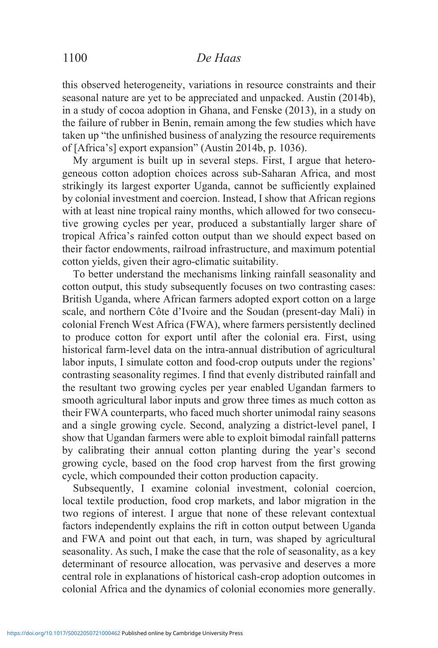this observed heterogeneity, variations in resource constraints and their seasonal nature are yet to be appreciated and unpacked. Austin (2014b), in a study of cocoa adoption in Ghana, and Fenske (2013), in a study on the failure of rubber in Benin, remain among the few studies which have taken up "the unfinished business of analyzing the resource requirements of [Africa's] export expansion" (Austin 2014b, p. 1036).

My argument is built up in several steps. First, I argue that heterogeneous cotton adoption choices across sub-Saharan Africa, and most strikingly its largest exporter Uganda, cannot be sufficiently explained by colonial investment and coercion. Instead, I show that African regions with at least nine tropical rainy months, which allowed for two consecutive growing cycles per year, produced a substantially larger share of tropical Africa's rainfed cotton output than we should expect based on their factor endowments, railroad infrastructure, and maximum potential cotton yields, given their agro-climatic suitability.

To better understand the mechanisms linking rainfall seasonality and cotton output, this study subsequently focuses on two contrasting cases: British Uganda, where African farmers adopted export cotton on a large scale, and northern Côte d'Ivoire and the Soudan (present-day Mali) in colonial French West Africa (FWA), where farmers persistently declined to produce cotton for export until after the colonial era. First, using historical farm-level data on the intra-annual distribution of agricultural labor inputs, I simulate cotton and food-crop outputs under the regions' contrasting seasonality regimes. I find that evenly distributed rainfall and the resultant two growing cycles per year enabled Ugandan farmers to smooth agricultural labor inputs and grow three times as much cotton as their FWA counterparts, who faced much shorter unimodal rainy seasons and a single growing cycle. Second, analyzing a district-level panel, I show that Ugandan farmers were able to exploit bimodal rainfall patterns by calibrating their annual cotton planting during the year's second growing cycle, based on the food crop harvest from the first growing cycle, which compounded their cotton production capacity.

Subsequently, I examine colonial investment, colonial coercion, local textile production, food crop markets, and labor migration in the two regions of interest. I argue that none of these relevant contextual factors independently explains the rift in cotton output between Uganda and FWA and point out that each, in turn, was shaped by agricultural seasonality. As such, I make the case that the role of seasonality, as a key determinant of resource allocation, was pervasive and deserves a more central role in explanations of historical cash-crop adoption outcomes in colonial Africa and the dynamics of colonial economies more generally.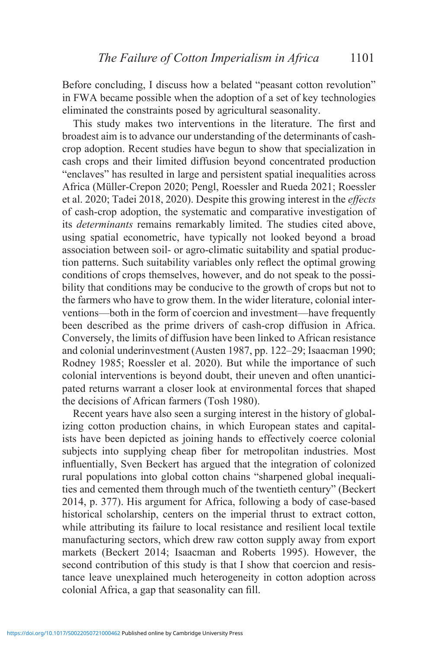Before concluding, I discuss how a belated "peasant cotton revolution" in FWA became possible when the adoption of a set of key technologies eliminated the constraints posed by agricultural seasonality.

This study makes two interventions in the literature. The first and broadest aim is to advance our understanding of the determinants of cashcrop adoption. Recent studies have begun to show that specialization in cash crops and their limited diffusion beyond concentrated production "enclaves" has resulted in large and persistent spatial inequalities across Africa (Müller-Crepon 2020; Pengl, Roessler and Rueda 2021; Roessler et al. 2020; Tadei 2018, 2020). Despite this growing interest in the *effects* of cash-crop adoption, the systematic and comparative investigation of its *determinants* remains remarkably limited. The studies cited above, using spatial econometric, have typically not looked beyond a broad association between soil- or agro-climatic suitability and spatial production patterns. Such suitability variables only reflect the optimal growing conditions of crops themselves, however, and do not speak to the possibility that conditions may be conducive to the growth of crops but not to the farmers who have to grow them. In the wider literature, colonial interventions—both in the form of coercion and investment—have frequently been described as the prime drivers of cash-crop diffusion in Africa. Conversely, the limits of diffusion have been linked to African resistance and colonial underinvestment (Austen 1987, pp. 122–29; Isaacman 1990; Rodney 1985; Roessler et al. 2020). But while the importance of such colonial interventions is beyond doubt, their uneven and often unanticipated returns warrant a closer look at environmental forces that shaped the decisions of African farmers (Tosh 1980).

Recent years have also seen a surging interest in the history of globalizing cotton production chains, in which European states and capitalists have been depicted as joining hands to effectively coerce colonial subjects into supplying cheap fiber for metropolitan industries. Most influentially, Sven Beckert has argued that the integration of colonized rural populations into global cotton chains "sharpened global inequalities and cemented them through much of the twentieth century" (Beckert 2014, p. 377). His argument for Africa, following a body of case-based historical scholarship, centers on the imperial thrust to extract cotton, while attributing its failure to local resistance and resilient local textile manufacturing sectors, which drew raw cotton supply away from export markets (Beckert 2014; Isaacman and Roberts 1995). However, the second contribution of this study is that I show that coercion and resistance leave unexplained much heterogeneity in cotton adoption across colonial Africa, a gap that seasonality can fill.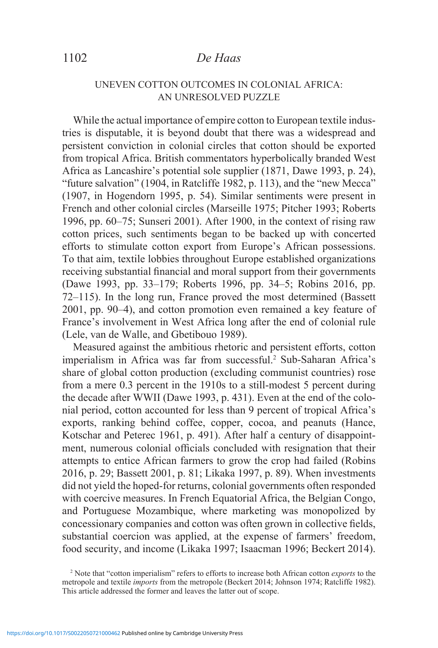# 1102 *De Haas*

### UNEVEN COTTON OUTCOMES IN COLONIAL AFRICA: AN UNRESOLVED PUZZLE

While the actual importance of empire cotton to European textile industries is disputable, it is beyond doubt that there was a widespread and persistent conviction in colonial circles that cotton should be exported from tropical Africa. British commentators hyperbolically branded West Africa as Lancashire's potential sole supplier (1871, Dawe 1993, p. 24), "future salvation" (1904, in Ratcliffe 1982, p. 113), and the "new Mecca" (1907, in Hogendorn 1995, p. 54). Similar sentiments were present in French and other colonial circles (Marseille 1975; Pitcher 1993; Roberts 1996, pp. 60–75; Sunseri 2001). After 1900, in the context of rising raw cotton prices, such sentiments began to be backed up with concerted efforts to stimulate cotton export from Europe's African possessions. To that aim, textile lobbies throughout Europe established organizations receiving substantial financial and moral support from their governments (Dawe 1993, pp. 33–179; Roberts 1996, pp. 34–5; Robins 2016, pp. 72–115). In the long run, France proved the most determined (Bassett 2001, pp. 90–4), and cotton promotion even remained a key feature of France's involvement in West Africa long after the end of colonial rule (Lele, van de Walle, and Gbetibouo 1989).

Measured against the ambitious rhetoric and persistent efforts, cotton imperialism in Africa was far from successful.<sup>2</sup> Sub-Saharan Africa's share of global cotton production (excluding communist countries) rose from a mere 0.3 percent in the 1910s to a still-modest 5 percent during the decade after WWII (Dawe 1993, p. 431). Even at the end of the colonial period, cotton accounted for less than 9 percent of tropical Africa's exports, ranking behind coffee, copper, cocoa, and peanuts (Hance, Kotschar and Peterec 1961, p. 491). After half a century of disappointment, numerous colonial officials concluded with resignation that their attempts to entice African farmers to grow the crop had failed (Robins 2016, p. 29; Bassett 2001, p. 81; Likaka 1997, p. 89). When investments did not yield the hoped-for returns, colonial governments often responded with coercive measures. In French Equatorial Africa, the Belgian Congo, and Portuguese Mozambique, where marketing was monopolized by concessionary companies and cotton was often grown in collective fields, substantial coercion was applied, at the expense of farmers' freedom, food security, and income (Likaka 1997; Isaacman 1996; Beckert 2014).

<sup>2</sup> Note that "cotton imperialism" refers to efforts to increase both African cotton *exports* to the metropole and textile *imports* from the metropole (Beckert 2014; Johnson 1974; Ratcliffe 1982). This article addressed the former and leaves the latter out of scope.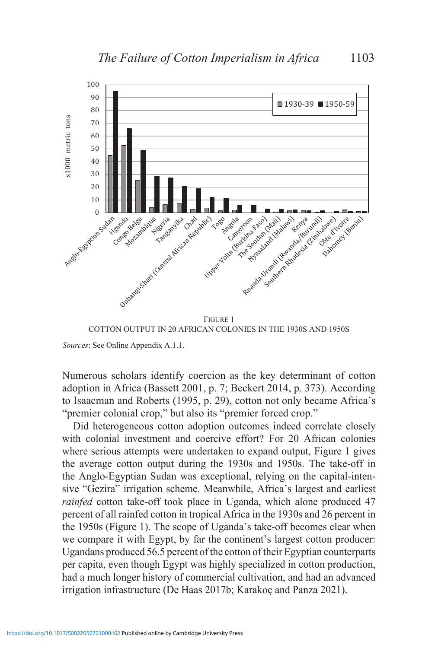

Figure 1 COTTON OUTPUT IN 20 AFRICAN COLONIES IN THE 1930S AND 1950S

*Sources*: See Online Appendix A.1.1.

Numerous scholars identify coercion as the key determinant of cotton adoption in Africa (Bassett 2001, p. 7; Beckert 2014, p. 373). According to Isaacman and Roberts (1995, p. 29), cotton not only became Africa's "premier colonial crop," but also its "premier forced crop."

Did heterogeneous cotton adoption outcomes indeed correlate closely with colonial investment and coercive effort? For 20 African colonies where serious attempts were undertaken to expand output, Figure 1 gives the average cotton output during the 1930s and 1950s. The take-off in the Anglo-Egyptian Sudan was exceptional, relying on the capital-intensive "Gezira" irrigation scheme. Meanwhile, Africa's largest and earliest *rainfed* cotton take-off took place in Uganda, which alone produced 47 percent of all rainfed cotton in tropical Africa in the 1930s and 26 percent in the 1950s (Figure 1). The scope of Uganda's take-off becomes clear when we compare it with Egypt, by far the continent's largest cotton producer: Ugandans produced 56.5 percent of the cotton of their Egyptian counterparts per capita, even though Egypt was highly specialized in cotton production, had a much longer history of commercial cultivation, and had an advanced irrigation infrastructure (De Haas 2017b; Karakoç and Panza 2021).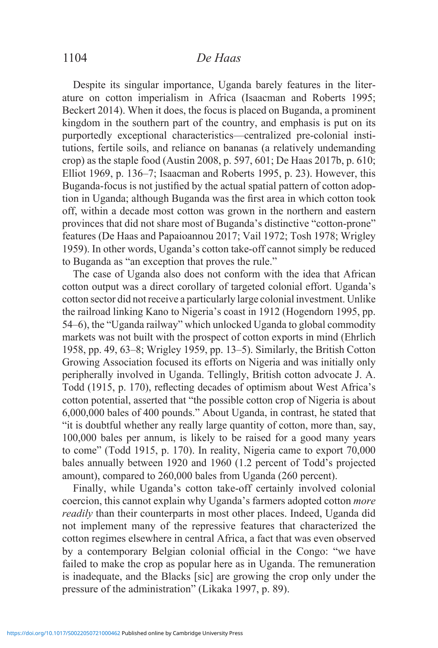## 1104 *De Haas*

Despite its singular importance, Uganda barely features in the literature on cotton imperialism in Africa (Isaacman and Roberts 1995; Beckert 2014). When it does, the focus is placed on Buganda, a prominent kingdom in the southern part of the country, and emphasis is put on its purportedly exceptional characteristics—centralized pre-colonial institutions, fertile soils, and reliance on bananas (a relatively undemanding crop) as the staple food (Austin 2008, p. 597, 601; De Haas 2017b, p. 610; Elliot 1969, p. 136–7; Isaacman and Roberts 1995, p. 23). However, this Buganda-focus is not justified by the actual spatial pattern of cotton adoption in Uganda; although Buganda was the first area in which cotton took off, within a decade most cotton was grown in the northern and eastern provinces that did not share most of Buganda's distinctive "cotton-prone" features (De Haas and Papaioannou 2017; Vail 1972; Tosh 1978; Wrigley 1959). In other words, Uganda's cotton take-off cannot simply be reduced to Buganda as "an exception that proves the rule."

The case of Uganda also does not conform with the idea that African cotton output was a direct corollary of targeted colonial effort. Uganda's cotton sector did not receive a particularly large colonial investment. Unlike the railroad linking Kano to Nigeria's coast in 1912 (Hogendorn 1995, pp. 54–6), the "Uganda railway" which unlocked Uganda to global commodity markets was not built with the prospect of cotton exports in mind (Ehrlich 1958, pp. 49, 63–8; Wrigley 1959, pp. 13–5). Similarly, the British Cotton Growing Association focused its efforts on Nigeria and was initially only peripherally involved in Uganda. Tellingly, British cotton advocate J. A. Todd (1915, p. 170), reflecting decades of optimism about West Africa's cotton potential, asserted that "the possible cotton crop of Nigeria is about 6,000,000 bales of 400 pounds." About Uganda, in contrast, he stated that "it is doubtful whether any really large quantity of cotton, more than, say, 100,000 bales per annum, is likely to be raised for a good many years to come" (Todd 1915, p. 170). In reality, Nigeria came to export 70,000 bales annually between 1920 and 1960 (1.2 percent of Todd's projected amount), compared to 260,000 bales from Uganda (260 percent).

Finally, while Uganda's cotton take-off certainly involved colonial coercion, this cannot explain why Uganda's farmers adopted cotton *more readily* than their counterparts in most other places. Indeed, Uganda did not implement many of the repressive features that characterized the cotton regimes elsewhere in central Africa, a fact that was even observed by a contemporary Belgian colonial official in the Congo: "we have failed to make the crop as popular here as in Uganda. The remuneration is inadequate, and the Blacks [sic] are growing the crop only under the pressure of the administration" (Likaka 1997, p. 89).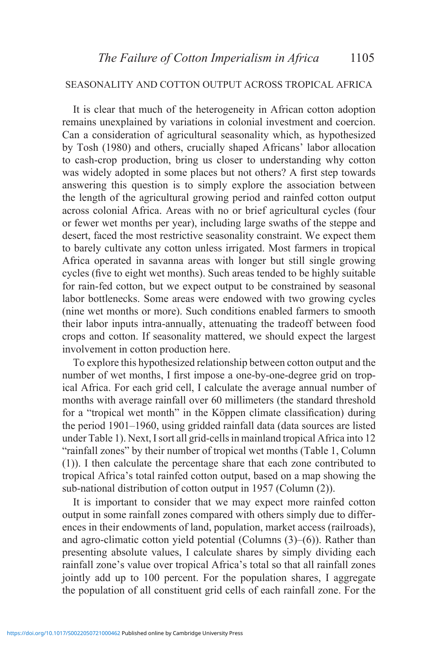### SEASONALITY AND COTTON OUTPUT ACROSS TROPICAL AFRICA

It is clear that much of the heterogeneity in African cotton adoption remains unexplained by variations in colonial investment and coercion. Can a consideration of agricultural seasonality which, as hypothesized by Tosh (1980) and others, crucially shaped Africans' labor allocation to cash-crop production, bring us closer to understanding why cotton was widely adopted in some places but not others? A first step towards answering this question is to simply explore the association between the length of the agricultural growing period and rainfed cotton output across colonial Africa. Areas with no or brief agricultural cycles (four or fewer wet months per year), including large swaths of the steppe and desert, faced the most restrictive seasonality constraint. We expect them to barely cultivate any cotton unless irrigated. Most farmers in tropical Africa operated in savanna areas with longer but still single growing cycles (five to eight wet months). Such areas tended to be highly suitable for rain-fed cotton, but we expect output to be constrained by seasonal labor bottlenecks. Some areas were endowed with two growing cycles (nine wet months or more). Such conditions enabled farmers to smooth their labor inputs intra-annually, attenuating the tradeoff between food crops and cotton. If seasonality mattered, we should expect the largest involvement in cotton production here.

To explore this hypothesized relationship between cotton output and the number of wet months, I first impose a one-by-one-degree grid on tropical Africa. For each grid cell, I calculate the average annual number of months with average rainfall over 60 millimeters (the standard threshold for a "tropical wet month" in the Köppen climate classification) during the period 1901–1960, using gridded rainfall data (data sources are listed under Table 1). Next, I sort all grid-cells in mainland tropical Africa into 12 "rainfall zones" by their number of tropical wet months (Table 1, Column (1)). I then calculate the percentage share that each zone contributed to tropical Africa's total rainfed cotton output, based on a map showing the sub-national distribution of cotton output in 1957 (Column (2)).

It is important to consider that we may expect more rainfed cotton output in some rainfall zones compared with others simply due to differences in their endowments of land, population, market access (railroads), and agro-climatic cotton yield potential (Columns (3)–(6)). Rather than presenting absolute values, I calculate shares by simply dividing each rainfall zone's value over tropical Africa's total so that all rainfall zones jointly add up to 100 percent. For the population shares, I aggregate the population of all constituent grid cells of each rainfall zone. For the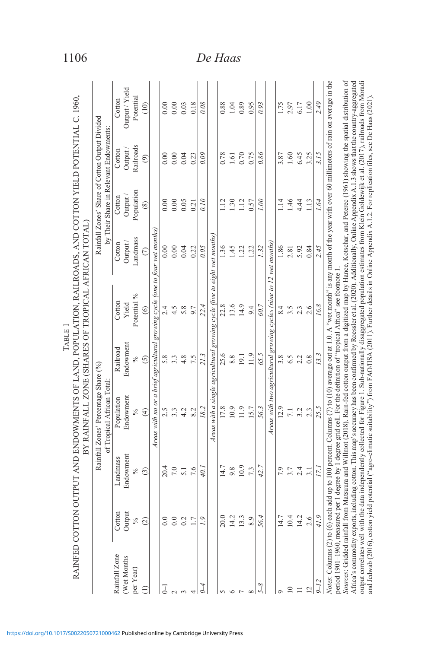|                                          | RAINFED COTTON OUTPU |               | T AND ENDOWMENTS OF LAND, POPULATION, RAILROADS, AND COTTON YIELD POTENTIAL C. 1960,<br>BY RAINFALL ZONE (SHARES OF TROPICAL AFRICAN TOTAL)                                                                                                                                                                                                                                 | TABLE         |                                                                    |                           |                                                                                          |                    |                |
|------------------------------------------|----------------------|---------------|-----------------------------------------------------------------------------------------------------------------------------------------------------------------------------------------------------------------------------------------------------------------------------------------------------------------------------------------------------------------------------|---------------|--------------------------------------------------------------------|---------------------------|------------------------------------------------------------------------------------------|--------------------|----------------|
|                                          |                      |               | Rainfall Zones' Percentage Share (%)<br>of Tropical African Total                                                                                                                                                                                                                                                                                                           |               |                                                                    |                           | Rainfall Zones' Share of Cotton Output Divided<br>by Their Share in Relevant Endowments: |                    |                |
| Rainfall Zone                            | Cotton               | Landmass      | Population                                                                                                                                                                                                                                                                                                                                                                  | Railroad      | Cotton                                                             | Cotton                    | Cotton                                                                                   | Cotton             | Cotton         |
| Wet Months                               | Output               | Endowment     | Endowment                                                                                                                                                                                                                                                                                                                                                                   | Endowment     | Yield                                                              | Output                    | Output                                                                                   | Output.            | Output / Yield |
| per Year)                                | $\%$                 | $\%$          | $\%$                                                                                                                                                                                                                                                                                                                                                                        | $\frac{6}{6}$ | Potential %                                                        | Landmass                  | Population                                                                               | Railroads          | Potential      |
| Э                                        | $\widehat{\infty}$   | $\widehat{c}$ | $\widehat{f}$                                                                                                                                                                                                                                                                                                                                                               | $\widehat{S}$ | $\widehat{\circ}$                                                  | $\widehat{C}$             | $\circledast$                                                                            | $\widehat{\Theta}$ | (10)           |
|                                          |                      |               | Areas with no or a brief agricultural growing cycle (one to four wet months)                                                                                                                                                                                                                                                                                                |               |                                                                    |                           |                                                                                          |                    |                |
|                                          | $\overline{0.0}$     | 20.4          | 2.5                                                                                                                                                                                                                                                                                                                                                                         | 5.8           |                                                                    | 0.00                      | 0.00                                                                                     | 0.00               | 0.00           |
|                                          | 0.0                  | 7.0           | 3.3                                                                                                                                                                                                                                                                                                                                                                         | 3.3           | 4.5                                                                | 0.00                      | 0.00                                                                                     | 0.00               | 0.00           |
|                                          | 0.2                  | 5.1           | 4.2                                                                                                                                                                                                                                                                                                                                                                         | 4.8           | 5.8                                                                | 0.04                      | 0.05                                                                                     | 0.04               | 0.03           |
|                                          |                      | 7.6           | 8.2                                                                                                                                                                                                                                                                                                                                                                         | 7.5           | $\overline{0}$                                                     | 0.22                      | 0.21                                                                                     | 0.23               | 0.18           |
|                                          |                      | 40.           | 18.2                                                                                                                                                                                                                                                                                                                                                                        | 213           | 22.4                                                               | 0.05                      | 0.10                                                                                     | 0.09               | 0.08           |
|                                          |                      |               | Areas with a single agricultural growing cycle (five to eight wet months)                                                                                                                                                                                                                                                                                                   |               |                                                                    |                           |                                                                                          |                    |                |
|                                          | 20.0                 | 14.7          | 17.8                                                                                                                                                                                                                                                                                                                                                                        | 25.6          | 22.8                                                               | $\widetilde{\mathcal{E}}$ | $\frac{12}{1}$                                                                           | 0.78               | 0.88           |
|                                          | 14.2                 | 9.8           | 10.9                                                                                                                                                                                                                                                                                                                                                                        | $8.8\,$       | 13.6                                                               | $-45$                     | 1.30                                                                                     | 1.61               | 1.04           |
|                                          | 13.3                 | 10.9          | 11.9                                                                                                                                                                                                                                                                                                                                                                        | 19.1          | 14.9                                                               | 1.22                      | 1.12                                                                                     | 0.70               | 0.89           |
|                                          | 8.9                  | 7.3           | 15.7                                                                                                                                                                                                                                                                                                                                                                        | 11.9          | 9.4                                                                | 1.22                      | 0.57                                                                                     | 0.75               | 0.95           |
|                                          | 56.                  | 42.7          | 56.3                                                                                                                                                                                                                                                                                                                                                                        | 65.5          | 60.7                                                               | $\ddot{32}$               | 00                                                                                       | 0.86               | 0.93           |
|                                          |                      |               |                                                                                                                                                                                                                                                                                                                                                                             |               | Areas with two agricultural growing cycles (nine to 12 wet months) |                           |                                                                                          |                    |                |
|                                          | 14.7                 | 7.9           | 12.9                                                                                                                                                                                                                                                                                                                                                                        | 3.8           | 8.4                                                                | 1.86                      | $\frac{14}{1}$                                                                           | 3.87               | 1.75           |
|                                          | 10.4                 | 3.7           | 7.1                                                                                                                                                                                                                                                                                                                                                                         | 6.5           | 3.5                                                                | 2.81                      | 1.46                                                                                     | 1.60               | 2.97           |
|                                          | 14.2                 | 2.4           | 3.2                                                                                                                                                                                                                                                                                                                                                                         | 2.2           | 2.3                                                                | 5.92                      | 4.44                                                                                     | 6.45               | 6.17           |
|                                          | 2.6                  | 3.1           | 2.3                                                                                                                                                                                                                                                                                                                                                                         | 0.8           | 2.6                                                                | 0.84                      | 1.13                                                                                     | 3.25               | 1.00           |
|                                          | 41.9                 | 17.           | 25.5                                                                                                                                                                                                                                                                                                                                                                        | 13.3          | 16.8                                                               | 2.45                      | 1.64                                                                                     | 3.15               | 2.49           |
| Notes: Columns (2) to (6) each add up to |                      |               | 100 percent. Columns (7) to (10) average out at 1.0. A "wet month" is any month of the year with over 60 millimeters of rain on average in the<br>period 1901-1960, measured per 1 degree by 1 degree grid cell. For the definition of "tropical Africa" see footnote 1                                                                                                     |               |                                                                    |                           |                                                                                          |                    |                |
|                                          |                      |               | Sources: Gridded rainfall from Matsuura and Willmot (2018). Rain-fed cotton output from a digitized map by Hance, Kotschar, and Peteree (1961) showing the spatial distribution of<br>Africa's commodity exports, including cotton. This map's accuracy has been confirmed by Roessler et al. (2020). Additionally, Online Appendix A.1.3 shows that the country-aggregated |               |                                                                    |                           |                                                                                          |                    |                |
|                                          |                      |               | output correlates well with the data independently collected for Figure 1. Sub-nationally disaggregated population estimates from Klein Goldewijk et al. (2017), railroads from Moradi<br>and Jedwab (2016), cotton yield potential ("agro-climatic suitability") from FAO/IISA (2011). Further details in Online Appendix A.1.2. For replication files, see De Haas (2021) |               |                                                                    |                           |                                                                                          |                    |                |

1106 *De Haas*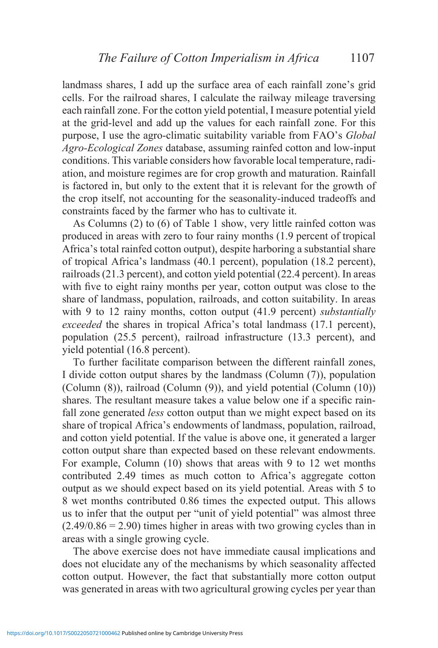landmass shares, I add up the surface area of each rainfall zone's grid cells. For the railroad shares, I calculate the railway mileage traversing each rainfall zone. For the cotton yield potential, I measure potential yield at the grid-level and add up the values for each rainfall zone. For this purpose, I use the agro-climatic suitability variable from FAO's *Global Agro-Ecological Zones* database, assuming rainfed cotton and low-input conditions. This variable considers how favorable local temperature, radiation, and moisture regimes are for crop growth and maturation. Rainfall is factored in, but only to the extent that it is relevant for the growth of the crop itself, not accounting for the seasonality-induced tradeoffs and constraints faced by the farmer who has to cultivate it.

As Columns (2) to (6) of Table 1 show, very little rainfed cotton was produced in areas with zero to four rainy months (1.9 percent of tropical Africa's total rainfed cotton output), despite harboring a substantial share of tropical Africa's landmass (40.1 percent), population (18.2 percent), railroads (21.3 percent), and cotton yield potential (22.4 percent). In areas with five to eight rainy months per year, cotton output was close to the share of landmass, population, railroads, and cotton suitability. In areas with 9 to 12 rainy months, cotton output (41.9 percent) *substantially exceeded* the shares in tropical Africa's total landmass (17.1 percent), population (25.5 percent), railroad infrastructure (13.3 percent), and yield potential (16.8 percent).

To further facilitate comparison between the different rainfall zones, I divide cotton output shares by the landmass (Column (7)), population (Column (8)), railroad (Column (9)), and yield potential (Column (10)) shares. The resultant measure takes a value below one if a specific rainfall zone generated *less* cotton output than we might expect based on its share of tropical Africa's endowments of landmass, population, railroad, and cotton yield potential. If the value is above one, it generated a larger cotton output share than expected based on these relevant endowments. For example, Column (10) shows that areas with 9 to 12 wet months contributed 2.49 times as much cotton to Africa's aggregate cotton output as we should expect based on its yield potential. Areas with 5 to 8 wet months contributed 0.86 times the expected output. This allows us to infer that the output per "unit of yield potential" was almost three  $(2.49/0.86 = 2.90)$  times higher in areas with two growing cycles than in areas with a single growing cycle.

The above exercise does not have immediate causal implications and does not elucidate any of the mechanisms by which seasonality affected cotton output. However, the fact that substantially more cotton output was generated in areas with two agricultural growing cycles per year than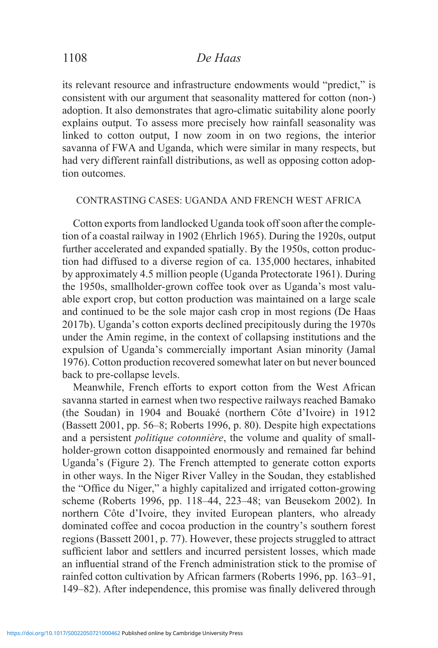its relevant resource and infrastructure endowments would "predict," is consistent with our argument that seasonality mattered for cotton (non-) adoption. It also demonstrates that agro-climatic suitability alone poorly explains output. To assess more precisely how rainfall seasonality was linked to cotton output, I now zoom in on two regions, the interior savanna of FWA and Uganda, which were similar in many respects, but had very different rainfall distributions, as well as opposing cotton adoption outcomes.

### CONTRASTING CASES: UGANDA AND FRENCH WEST AFRICA

Cotton exports from landlocked Uganda took off soon after the completion of a coastal railway in 1902 (Ehrlich 1965). During the 1920s, output further accelerated and expanded spatially. By the 1950s, cotton production had diffused to a diverse region of ca. 135,000 hectares, inhabited by approximately 4.5 million people (Uganda Protectorate 1961). During the 1950s, smallholder-grown coffee took over as Uganda's most valuable export crop, but cotton production was maintained on a large scale and continued to be the sole major cash crop in most regions (De Haas 2017b). Uganda's cotton exports declined precipitously during the 1970s under the Amin regime, in the context of collapsing institutions and the expulsion of Uganda's commercially important Asian minority (Jamal 1976). Cotton production recovered somewhat later on but never bounced back to pre-collapse levels.

Meanwhile, French efforts to export cotton from the West African savanna started in earnest when two respective railways reached Bamako (the Soudan) in 1904 and Bouaké (northern Côte d'Ivoire) in 1912 (Bassett 2001, pp. 56–8; Roberts 1996, p. 80). Despite high expectations and a persistent *politique cotonnière*, the volume and quality of smallholder-grown cotton disappointed enormously and remained far behind Uganda's (Figure 2). The French attempted to generate cotton exports in other ways. In the Niger River Valley in the Soudan, they established the "Office du Niger," a highly capitalized and irrigated cotton-growing scheme (Roberts 1996, pp. 118–44, 223–48; van Beusekom 2002). In northern Côte d'Ivoire, they invited European planters, who already dominated coffee and cocoa production in the country's southern forest regions (Bassett 2001, p. 77). However, these projects struggled to attract sufficient labor and settlers and incurred persistent losses, which made an influential strand of the French administration stick to the promise of rainfed cotton cultivation by African farmers (Roberts 1996, pp. 163–91, 149–82). After independence, this promise was finally delivered through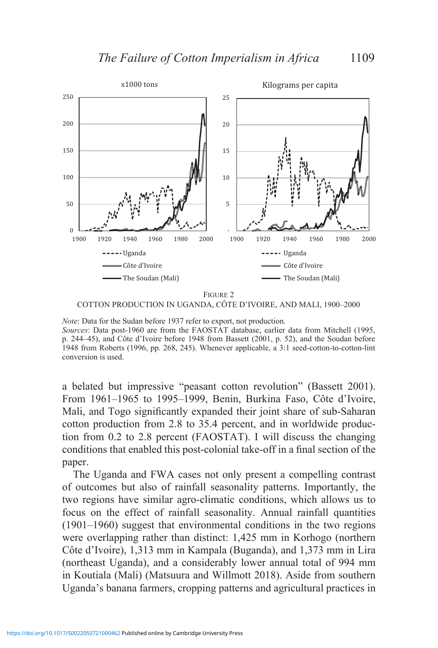

FIGURE 2 COTTON PRODUCTION IN UGANDA, CÔTE D'IVOIRE, AND MALI, 1900–2000

*Note*: Data for the Sudan before 1937 refer to export, not production. *Sources*: Data post-1960 are from the FAOSTAT database, earlier data from Mitchell (1995, p. 244–45), and Côte d'Ivoire before 1948 from Bassett (2001, p. 52), and the Soudan before 1948 from Roberts (1996, pp. 268, 245). Whenever applicable, a 3:1 seed-cotton-to-cotton-lint conversion is used.

a belated but impressive "peasant cotton revolution" (Bassett 2001). From 1961–1965 to 1995–1999, Benin, Burkina Faso, Côte d'Ivoire, Mali, and Togo significantly expanded their joint share of sub-Saharan cotton production from 2.8 to 35.4 percent, and in worldwide production from 0.2 to 2.8 percent (FAOSTAT). I will discuss the changing conditions that enabled this post-colonial take-off in a final section of the paper.

The Uganda and FWA cases not only present a compelling contrast of outcomes but also of rainfall seasonality patterns. Importantly, the two regions have similar agro-climatic conditions, which allows us to focus on the effect of rainfall seasonality. Annual rainfall quantities (1901–1960) suggest that environmental conditions in the two regions were overlapping rather than distinct: 1,425 mm in Korhogo (northern Côte d'Ivoire), 1,313 mm in Kampala (Buganda), and 1,373 mm in Lira (northeast Uganda), and a considerably lower annual total of 994 mm in Koutiala (Mali) (Matsuura and Willmott 2018). Aside from southern Uganda's banana farmers, cropping patterns and agricultural practices in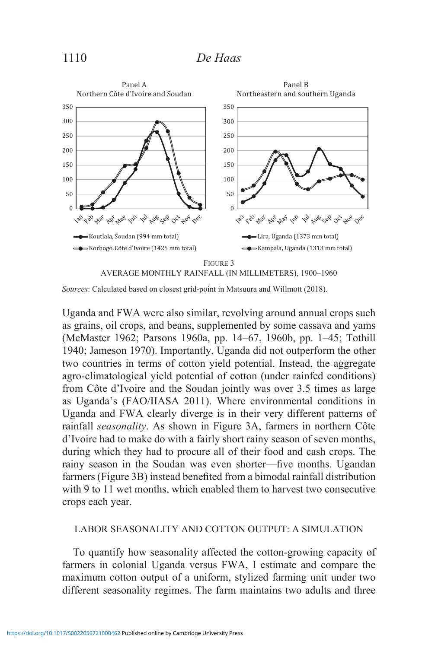

*Sources*: Calculated based on closest grid-point in Matsuura and Willmott (2018).

Uganda and FWA were also similar, revolving around annual crops such as grains, oil crops, and beans, supplemented by some cassava and yams (McMaster 1962; Parsons 1960a, pp. 14–67, 1960b, pp. 1–45; Tothill 1940; Jameson 1970). Importantly, Uganda did not outperform the other two countries in terms of cotton yield potential. Instead, the aggregate agro-climatological yield potential of cotton (under rainfed conditions) from Côte d'Ivoire and the Soudan jointly was over 3.5 times as large as Uganda's (FAO/IIASA 2011). Where environmental conditions in Uganda and FWA clearly diverge is in their very different patterns of rainfall *seasonality*. As shown in Figure 3A, farmers in northern Côte d'Ivoire had to make do with a fairly short rainy season of seven months, during which they had to procure all of their food and cash crops. The rainy season in the Soudan was even shorter—five months. Ugandan farmers (Figure 3B) instead benefited from a bimodal rainfall distribution with 9 to 11 wet months, which enabled them to harvest two consecutive crops each year.

### LABOR SEASONALITY AND COTTON OUTPUT: A SIMULATION

To quantify how seasonality affected the cotton-growing capacity of farmers in colonial Uganda versus FWA, I estimate and compare the maximum cotton output of a uniform, stylized farming unit under two different seasonality regimes. The farm maintains two adults and three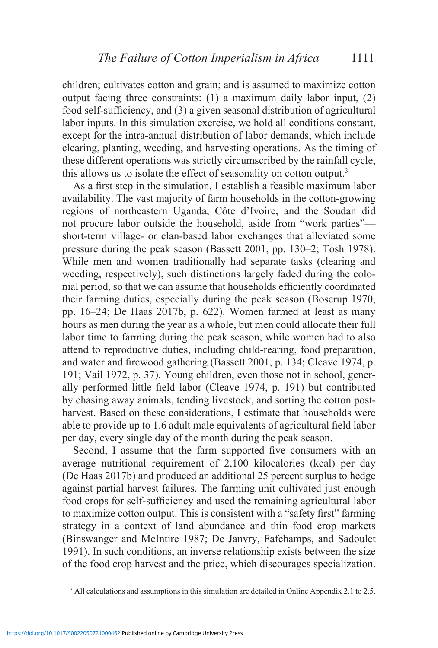children; cultivates cotton and grain; and is assumed to maximize cotton output facing three constraints: (1) a maximum daily labor input, (2) food self-sufficiency, and (3) a given seasonal distribution of agricultural labor inputs. In this simulation exercise, we hold all conditions constant, except for the intra-annual distribution of labor demands, which include clearing, planting, weeding, and harvesting operations. As the timing of these different operations was strictly circumscribed by the rainfall cycle, this allows us to isolate the effect of seasonality on cotton output.<sup>3</sup>

As a first step in the simulation, I establish a feasible maximum labor availability. The vast majority of farm households in the cotton-growing regions of northeastern Uganda, Côte d'Ivoire, and the Soudan did not procure labor outside the household, aside from "work parties" short-term village- or clan-based labor exchanges that alleviated some pressure during the peak season (Bassett 2001, pp. 130–2; Tosh 1978). While men and women traditionally had separate tasks (clearing and weeding, respectively), such distinctions largely faded during the colonial period, so that we can assume that households efficiently coordinated their farming duties, especially during the peak season (Boserup 1970, pp. 16–24; De Haas 2017b, p. 622). Women farmed at least as many hours as men during the year as a whole, but men could allocate their full labor time to farming during the peak season, while women had to also attend to reproductive duties, including child-rearing, food preparation, and water and firewood gathering (Bassett 2001, p. 134; Cleave 1974, p. 191; Vail 1972, p. 37). Young children, even those not in school, generally performed little field labor (Cleave 1974, p. 191) but contributed by chasing away animals, tending livestock, and sorting the cotton postharvest. Based on these considerations, I estimate that households were able to provide up to 1.6 adult male equivalents of agricultural field labor per day, every single day of the month during the peak season.

Second, I assume that the farm supported five consumers with an average nutritional requirement of 2,100 kilocalories (kcal) per day (De Haas 2017b) and produced an additional 25 percent surplus to hedge against partial harvest failures. The farming unit cultivated just enough food crops for self-sufficiency and used the remaining agricultural labor to maximize cotton output. This is consistent with a "safety first" farming strategy in a context of land abundance and thin food crop markets (Binswanger and McIntire 1987; De Janvry, Fafchamps, and Sadoulet 1991). In such conditions, an inverse relationship exists between the size of the food crop harvest and the price, which discourages specialization.

<sup>&</sup>lt;sup>3</sup> All calculations and assumptions in this simulation are detailed in Online Appendix 2.1 to 2.5.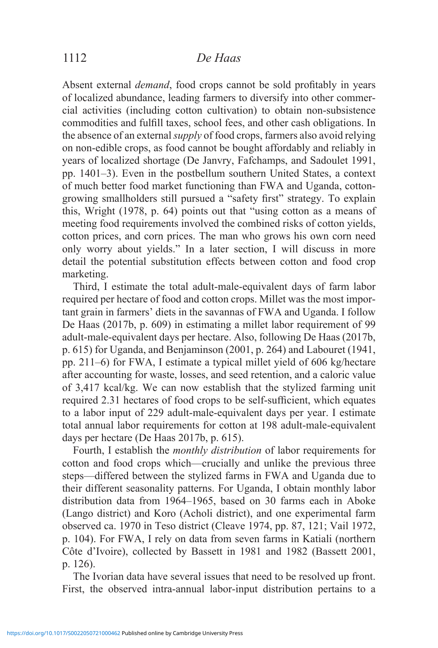# 1112 *De Haas*

Absent external *demand*, food crops cannot be sold profitably in years of localized abundance, leading farmers to diversify into other commercial activities (including cotton cultivation) to obtain non-subsistence commodities and fulfill taxes, school fees, and other cash obligations. In the absence of an external *supply* of food crops, farmers also avoid relying on non-edible crops, as food cannot be bought affordably and reliably in years of localized shortage (De Janvry, Fafchamps, and Sadoulet 1991, pp. 1401–3). Even in the postbellum southern United States, a context of much better food market functioning than FWA and Uganda, cottongrowing smallholders still pursued a "safety first" strategy. To explain this, Wright (1978, p. 64) points out that "using cotton as a means of meeting food requirements involved the combined risks of cotton yields, cotton prices, and corn prices. The man who grows his own corn need only worry about yields." In a later section, I will discuss in more detail the potential substitution effects between cotton and food crop marketing.

Third, I estimate the total adult-male-equivalent days of farm labor required per hectare of food and cotton crops. Millet was the most important grain in farmers' diets in the savannas of FWA and Uganda. I follow De Haas (2017b, p. 609) in estimating a millet labor requirement of 99 adult-male-equivalent days per hectare. Also, following De Haas (2017b, p. 615) for Uganda, and Benjaminson (2001, p. 264) and Labouret (1941, pp. 211–6) for FWA, I estimate a typical millet yield of 606 kg/hectare after accounting for waste, losses, and seed retention, and a caloric value of 3,417 kcal/kg. We can now establish that the stylized farming unit required 2.31 hectares of food crops to be self-sufficient, which equates to a labor input of 229 adult-male-equivalent days per year. I estimate total annual labor requirements for cotton at 198 adult-male-equivalent days per hectare (De Haas 2017b, p. 615).

Fourth, I establish the *monthly distribution* of labor requirements for cotton and food crops which—crucially and unlike the previous three steps—differed between the stylized farms in FWA and Uganda due to their different seasonality patterns. For Uganda, I obtain monthly labor distribution data from 1964–1965, based on 30 farms each in Aboke (Lango district) and Koro (Acholi district), and one experimental farm observed ca. 1970 in Teso district (Cleave 1974, pp. 87, 121; Vail 1972, p. 104). For FWA, I rely on data from seven farms in Katiali (northern Côte d'Ivoire), collected by Bassett in 1981 and 1982 (Bassett 2001, p. 126).

The Ivorian data have several issues that need to be resolved up front. First, the observed intra-annual labor-input distribution pertains to a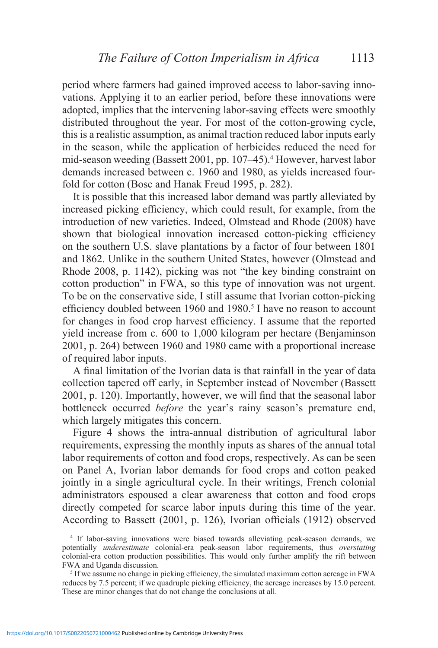period where farmers had gained improved access to labor-saving innovations. Applying it to an earlier period, before these innovations were adopted, implies that the intervening labor-saving effects were smoothly distributed throughout the year. For most of the cotton-growing cycle, this is a realistic assumption, as animal traction reduced labor inputs early in the season, while the application of herbicides reduced the need for mid-season weeding (Bassett 2001, pp. 107–45).<sup>4</sup> However, harvest labor demands increased between c. 1960 and 1980, as yields increased fourfold for cotton (Bosc and Hanak Freud 1995, p. 282).

It is possible that this increased labor demand was partly alleviated by increased picking efficiency, which could result, for example, from the introduction of new varieties. Indeed, Olmstead and Rhode (2008) have shown that biological innovation increased cotton-picking efficiency on the southern U.S. slave plantations by a factor of four between 1801 and 1862. Unlike in the southern United States, however (Olmstead and Rhode 2008, p. 1142), picking was not "the key binding constraint on cotton production" in FWA, so this type of innovation was not urgent. To be on the conservative side, I still assume that Ivorian cotton-picking efficiency doubled between 1960 and 1980.<sup>5</sup> I have no reason to account for changes in food crop harvest efficiency. I assume that the reported yield increase from c. 600 to 1,000 kilogram per hectare (Benjaminson 2001, p. 264) between 1960 and 1980 came with a proportional increase of required labor inputs.

A final limitation of the Ivorian data is that rainfall in the year of data collection tapered off early, in September instead of November (Bassett 2001, p. 120). Importantly, however, we will find that the seasonal labor bottleneck occurred *before* the year's rainy season's premature end, which largely mitigates this concern.

Figure 4 shows the intra-annual distribution of agricultural labor requirements, expressing the monthly inputs as shares of the annual total labor requirements of cotton and food crops, respectively. As can be seen on Panel A, Ivorian labor demands for food crops and cotton peaked jointly in a single agricultural cycle. In their writings, French colonial administrators espoused a clear awareness that cotton and food crops directly competed for scarce labor inputs during this time of the year. According to Bassett (2001, p. 126), Ivorian officials (1912) observed

<sup>4</sup> If labor-saving innovations were biased towards alleviating peak-season demands, we potentially *underestimate* colonial-era peak-season labor requirements, thus *overstating*  colonial-era cotton production possibilities. This would only further amplify the rift between FWA and Uganda discussion.

<sup>&</sup>lt;sup>5</sup> If we assume no change in picking efficiency, the simulated maximum cotton acreage in FWA reduces by 7.5 percent; if we quadruple picking efficiency, the acreage increases by 15.0 percent. These are minor changes that do not change the conclusions at all.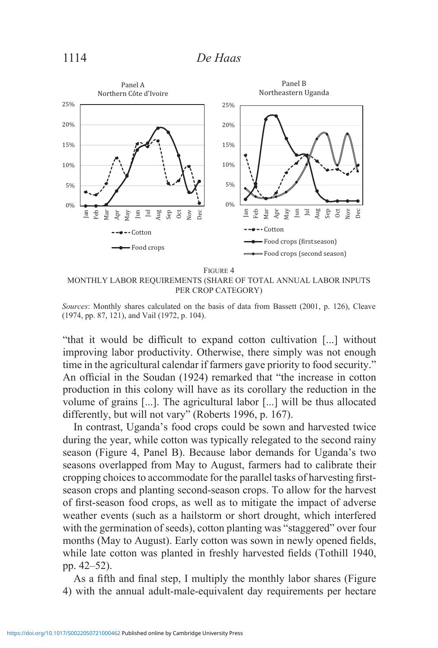

Figure 4 MONTHLY LABOR REQUIREMENTS (SHARE OF TOTAL ANNUAL LABOR INPUTS PER CROP CATEGORY)

"that it would be difficult to expand cotton cultivation [...] without improving labor productivity. Otherwise, there simply was not enough time in the agricultural calendar if farmers gave priority to food security." An official in the Soudan (1924) remarked that "the increase in cotton production in this colony will have as its corollary the reduction in the volume of grains [...]. The agricultural labor [...] will be thus allocated differently, but will not vary" (Roberts 1996, p. 167).

In contrast, Uganda's food crops could be sown and harvested twice during the year, while cotton was typically relegated to the second rainy season (Figure 4, Panel B). Because labor demands for Uganda's two seasons overlapped from May to August, farmers had to calibrate their cropping choices to accommodate for the parallel tasks of harvesting firstseason crops and planting second-season crops. To allow for the harvest of first-season food crops, as well as to mitigate the impact of adverse weather events (such as a hailstorm or short drought, which interfered with the germination of seeds), cotton planting was "staggered" over four months (May to August). Early cotton was sown in newly opened fields, while late cotton was planted in freshly harvested fields (Tothill 1940, pp. 42–52).

As a fifth and final step, I multiply the monthly labor shares (Figure 4) with the annual adult-male-equivalent day requirements per hectare

*Sources*: Monthly shares calculated on the basis of data from Bassett (2001, p. 126), Cleave (1974, pp. 87, 121), and Vail (1972, p. 104).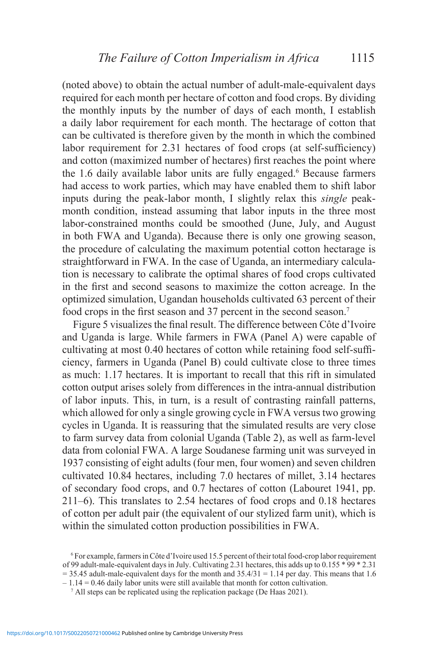(noted above) to obtain the actual number of adult-male-equivalent days required for each month per hectare of cotton and food crops. By dividing the monthly inputs by the number of days of each month, I establish a daily labor requirement for each month. The hectarage of cotton that can be cultivated is therefore given by the month in which the combined labor requirement for 2.31 hectares of food crops (at self-sufficiency) and cotton (maximized number of hectares) first reaches the point where the 1.6 daily available labor units are fully engaged.<sup>6</sup> Because farmers had access to work parties, which may have enabled them to shift labor inputs during the peak-labor month, I slightly relax this *single* peakmonth condition, instead assuming that labor inputs in the three most labor-constrained months could be smoothed (June, July, and August in both FWA and Uganda). Because there is only one growing season, the procedure of calculating the maximum potential cotton hectarage is straightforward in FWA. In the case of Uganda, an intermediary calculation is necessary to calibrate the optimal shares of food crops cultivated in the first and second seasons to maximize the cotton acreage. In the optimized simulation, Ugandan households cultivated 63 percent of their food crops in the first season and 37 percent in the second season.<sup>7</sup>

Figure 5 visualizes the final result. The difference between Côte d'Ivoire and Uganda is large. While farmers in FWA (Panel A) were capable of cultivating at most 0.40 hectares of cotton while retaining food self-sufficiency, farmers in Uganda (Panel B) could cultivate close to three times as much: 1.17 hectares. It is important to recall that this rift in simulated cotton output arises solely from differences in the intra-annual distribution of labor inputs. This, in turn, is a result of contrasting rainfall patterns, which allowed for only a single growing cycle in FWA versus two growing cycles in Uganda. It is reassuring that the simulated results are very close to farm survey data from colonial Uganda (Table 2), as well as farm-level data from colonial FWA. A large Soudanese farming unit was surveyed in 1937 consisting of eight adults (four men, four women) and seven children cultivated 10.84 hectares, including 7.0 hectares of millet, 3.14 hectares of secondary food crops, and 0.7 hectares of cotton (Labouret 1941, pp. 211–6). This translates to 2.54 hectares of food crops and 0.18 hectares of cotton per adult pair (the equivalent of our stylized farm unit), which is within the simulated cotton production possibilities in FWA.

<sup>6</sup> For example, farmers in Côte d'Ivoire used 15.5 percent of their total food-crop labor requirement of 99 adult-male-equivalent days in July. Cultivating 2.31 hectares, this adds up to 0.155 \* 99 \* 2.31  $= 35.45$  adult-male-equivalent days for the month and  $35.4/31 = 1.14$  per day. This means that 1.6  $-1.14 = 0.46$  daily labor units were still available that month for cotton cultivation.

<sup>&</sup>lt;sup>7</sup> All steps can be replicated using the replication package (De Haas 2021).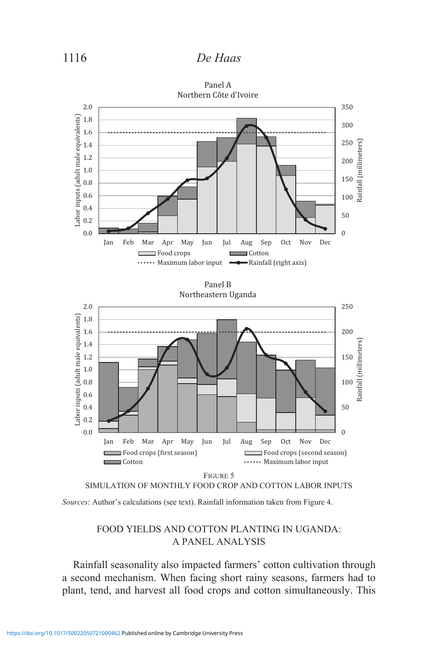# 1116 *De Haas*



*Sources*: Author's calculations (see text). Rainfall information taken from Figure 4.

## FOOD YIELDS AND COTTON PLANTING IN UGANDA: A PANEL ANALYSIS

Rainfall seasonality also impacted farmers' cotton cultivation through a second mechanism. When facing short rainy seasons, farmers had to plant, tend, and harvest all food crops and cotton simultaneously. This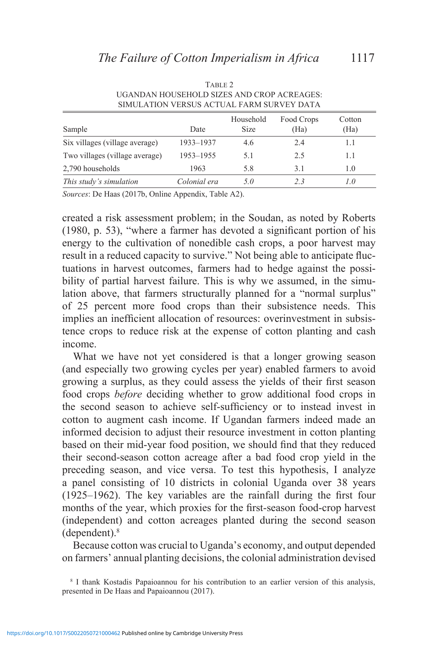| Sample                         | Date         | Household<br><b>Size</b> | Food Crops<br>(Ha) | Cotton<br>(Ha) |
|--------------------------------|--------------|--------------------------|--------------------|----------------|
| Six villages (village average) | 1933-1937    | 4.6                      | 2.4                | 1.1            |
| Two villages (village average) | 1953-1955    | 5.1                      | 2.5                | 1.1            |
| 2,790 households               | 1963         | 5.8                      | 3.1                | 1.0            |
| This study's simulation        | Colonial era | 5 O                      | 23                 | 1.0            |

TABLE 2 UGANDAN HOUSEHOLD SIZES AND CROP ACREAGES: SIMULATION VERSUS ACTUAL FARM SURVEY DATA

*Sources*: De Haas (2017b, Online Appendix, Table A2).

created a risk assessment problem; in the Soudan, as noted by Roberts (1980, p. 53), "where a farmer has devoted a significant portion of his energy to the cultivation of nonedible cash crops, a poor harvest may result in a reduced capacity to survive." Not being able to anticipate fluctuations in harvest outcomes, farmers had to hedge against the possibility of partial harvest failure. This is why we assumed, in the simulation above, that farmers structurally planned for a "normal surplus" of 25 percent more food crops than their subsistence needs. This implies an inefficient allocation of resources: overinvestment in subsistence crops to reduce risk at the expense of cotton planting and cash income.

What we have not yet considered is that a longer growing season (and especially two growing cycles per year) enabled farmers to avoid growing a surplus, as they could assess the yields of their first season food crops *before* deciding whether to grow additional food crops in the second season to achieve self-sufficiency or to instead invest in cotton to augment cash income. If Ugandan farmers indeed made an informed decision to adjust their resource investment in cotton planting based on their mid-year food position, we should find that they reduced their second-season cotton acreage after a bad food crop yield in the preceding season, and vice versa. To test this hypothesis, I analyze a panel consisting of 10 districts in colonial Uganda over 38 years (1925–1962). The key variables are the rainfall during the first four months of the year, which proxies for the first-season food-crop harvest (independent) and cotton acreages planted during the second season (dependent).8

Because cotton was crucial to Uganda's economy, and output depended on farmers' annual planting decisions, the colonial administration devised

<sup>8</sup> I thank Kostadis Papaioannou for his contribution to an earlier version of this analysis, presented in De Haas and Papaioannou (2017).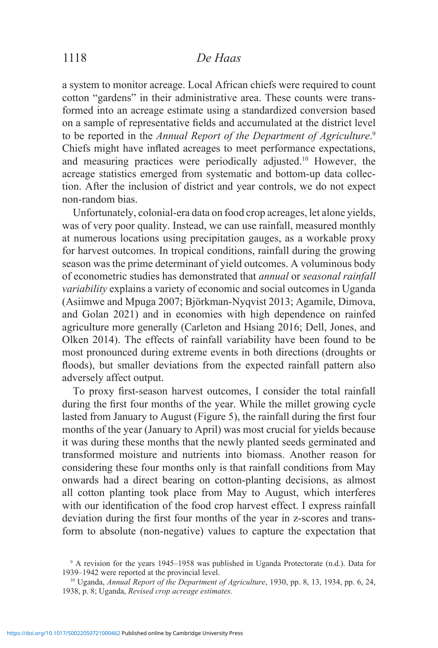# 1118 *De Haas*

a system to monitor acreage. Local African chiefs were required to count cotton "gardens" in their administrative area. These counts were transformed into an acreage estimate using a standardized conversion based on a sample of representative fields and accumulated at the district level to be reported in the *Annual Report of the Department of Agriculture*. 9 Chiefs might have inflated acreages to meet performance expectations, and measuring practices were periodically adjusted.10 However, the acreage statistics emerged from systematic and bottom-up data collection. After the inclusion of district and year controls, we do not expect non-random bias.

Unfortunately, colonial-era data on food crop acreages, let alone yields, was of very poor quality. Instead, we can use rainfall, measured monthly at numerous locations using precipitation gauges, as a workable proxy for harvest outcomes. In tropical conditions, rainfall during the growing season was the prime determinant of yield outcomes. A voluminous body of econometric studies has demonstrated that *annual* or *seasonal rainfall variability* explains a variety of economic and social outcomes in Uganda (Asiimwe and Mpuga 2007; Björkman-Nyqvist 2013; Agamile, Dimova, and Golan 2021) and in economies with high dependence on rainfed agriculture more generally (Carleton and Hsiang 2016; Dell, Jones, and Olken 2014). The effects of rainfall variability have been found to be most pronounced during extreme events in both directions (droughts or floods), but smaller deviations from the expected rainfall pattern also adversely affect output.

To proxy first-season harvest outcomes, I consider the total rainfall during the first four months of the year. While the millet growing cycle lasted from January to August (Figure 5), the rainfall during the first four months of the year (January to April) was most crucial for yields because it was during these months that the newly planted seeds germinated and transformed moisture and nutrients into biomass. Another reason for considering these four months only is that rainfall conditions from May onwards had a direct bearing on cotton-planting decisions, as almost all cotton planting took place from May to August, which interferes with our identification of the food crop harvest effect. I express rainfall deviation during the first four months of the year in z-scores and transform to absolute (non-negative) values to capture the expectation that

<sup>9</sup> A revision for the years 1945–1958 was published in Uganda Protectorate (n.d.). Data for 1939–1942 were reported at the provincial level.

<sup>10</sup> Uganda, *Annual Report of the Department of Agriculture*, 1930, pp. 8, 13, 1934, pp. 6, 24, 1938, p. 8; Uganda, *Revised crop acreage estimates.*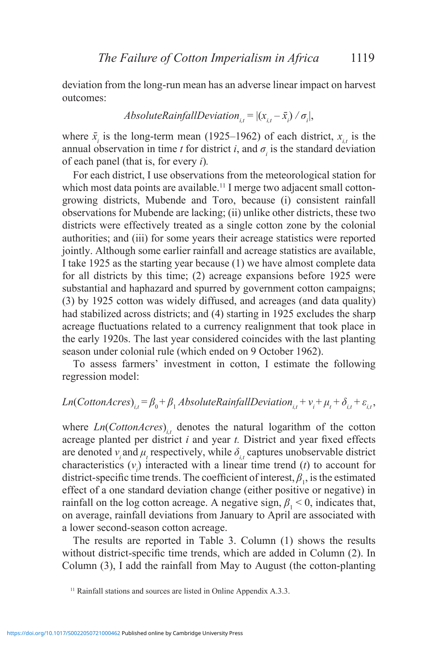deviation from the long-run mean has an adverse linear impact on harvest outcomes:

$$
Absolute RainfallDeviation_{i,t} = |(x_{i,t} - \bar{x}_i) / \sigma_i|,
$$

where  $\bar{x}_i$  is the long-term mean (1925–1962) of each district,  $x_{i,t}$  is the annual observation in time *t* for district *i*, and  $\sigma$ <sub>*i*</sub> is the standard deviation of each panel (that is, for every *i*)*.*

For each district, I use observations from the meteorological station for which most data points are available.<sup>11</sup> I merge two adjacent small cottongrowing districts, Mubende and Toro, because (i) consistent rainfall observations for Mubende are lacking; (ii) unlike other districts, these two districts were effectively treated as a single cotton zone by the colonial authorities; and (iii) for some years their acreage statistics were reported jointly. Although some earlier rainfall and acreage statistics are available, I take 1925 as the starting year because (1) we have almost complete data for all districts by this time; (2) acreage expansions before 1925 were substantial and haphazard and spurred by government cotton campaigns; (3) by 1925 cotton was widely diffused, and acreages (and data quality) had stabilized across districts; and (4) starting in 1925 excludes the sharp acreage fluctuations related to a currency realignment that took place in the early 1920s. The last year considered coincides with the last planting season under colonial rule (which ended on 9 October 1962).

To assess farmers' investment in cotton, I estimate the following regression model:

# $Ln(CottomAccess)_{i,t} = \beta_0 + \beta_1 AbsoluteRainfallDeviation_{i,t} + v_i + \mu_t + \delta_{i,t} + \varepsilon_{i,t}$

where  $Ln(CottomArcres)_{i,t}$  denotes the natural logarithm of the cotton acreage planted per district *i* and year *t.* District and year fixed effects are denoted  $v_i$  and  $\mu_t$  respectively, while  $\delta_{i,t}$  captures unobservable district characteristics  $(v_i)$  interacted with a linear time trend  $(t)$  to account for district-specific time trends. The coefficient of interest,  $\beta_1$ , is the estimated effect of a one standard deviation change (either positive or negative) in rainfall on the log cotton acreage. A negative sign,  $\beta_1 < 0$ , indicates that, on average, rainfall deviations from January to April are associated with a lower second-season cotton acreage.

The results are reported in Table 3. Column (1) shows the results without district-specific time trends, which are added in Column (2). In Column (3), I add the rainfall from May to August (the cotton-planting

<sup>&</sup>lt;sup>11</sup> Rainfall stations and sources are listed in Online Appendix A.3.3.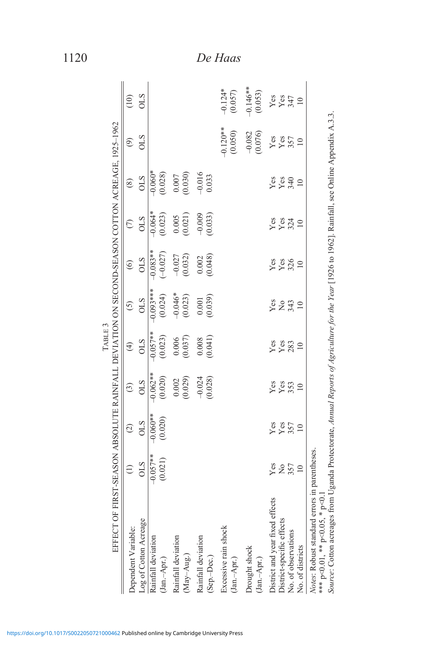| EFFECT OF FIRST-SEASON ABSOLUTE RAINFALL DEVIATION ON SECOND-SEASON COTTON ACREAGE. 1925–1962                                                                                                                                                        |                 |                   |                       | TABLE <sub>3</sub> |                      |                     |                       |                       |                       |                                                                                                         |
|------------------------------------------------------------------------------------------------------------------------------------------------------------------------------------------------------------------------------------------------------|-----------------|-------------------|-----------------------|--------------------|----------------------|---------------------|-----------------------|-----------------------|-----------------------|---------------------------------------------------------------------------------------------------------|
| Dependent Variable:                                                                                                                                                                                                                                  | $\bigoplus$     | $\odot$           | $\odot$               | $\bigoplus$        | $\overline{5}$       | $\odot$             | $\odot$               | $\circledS$           | $\circledcirc$        | (10)                                                                                                    |
| Log of Cotton Acreage                                                                                                                                                                                                                                | <b>OLS</b>      | <b>OLS</b>        | <b>OLS</b>            | <b>OLS</b>         | STO                  | <b>OLS</b>          | <b>OLS</b>            | STIO                  | <b>CTO</b>            | <b>OLS</b>                                                                                              |
| Rainfall deviation                                                                                                                                                                                                                                   | $-0.057**$      | $-0.060**$        | $-0.062**$            | $-0.057**$         | $-0.093***$          | $-0.083**$          | $-0.064*$             | $-0.060*$<br>(0.028)  |                       |                                                                                                         |
| $(Jan.-Apr.)$                                                                                                                                                                                                                                        | (0.021)         | (0.020)           | (0.020)               | (0.023)            | (0.024)              | $(-0.027)$          | (0.023)               |                       |                       |                                                                                                         |
| Rainfall deviation                                                                                                                                                                                                                                   |                 |                   | (0.002)               | 0.006              | $-0.046*$<br>(0.023) | $-0.027$<br>(0.032) | 0.005                 | $(0.007$<br>$(0.030)$ |                       |                                                                                                         |
| (May-Aug.)                                                                                                                                                                                                                                           |                 |                   |                       | (0.037)            |                      |                     | (0.021)               |                       |                       |                                                                                                         |
| Rainfall deviation                                                                                                                                                                                                                                   |                 |                   | $-0.024$<br>$(0.028)$ |                    | $0.001\,$            | 0.002               | $-0.009$<br>$(0.033)$ | $-0.016$<br>0.033     |                       |                                                                                                         |
| (Sep.-Dec.)                                                                                                                                                                                                                                          |                 |                   |                       |                    | (0.039)              | (0.048)             |                       |                       |                       |                                                                                                         |
| Excessive rain shock                                                                                                                                                                                                                                 |                 |                   |                       |                    |                      |                     |                       |                       | $-0.120**$            | $-0.124*$                                                                                               |
| $(Jan.-Apr.)$                                                                                                                                                                                                                                        |                 |                   |                       |                    |                      |                     |                       |                       | (0.050)               | (0.057)                                                                                                 |
| Drought shock                                                                                                                                                                                                                                        |                 |                   |                       |                    |                      |                     |                       |                       | $-0.082$<br>$(0.076)$ | $-0.146**$                                                                                              |
| $(Jan-Apr.)$                                                                                                                                                                                                                                         |                 |                   |                       |                    |                      |                     |                       |                       |                       | (0.053)                                                                                                 |
| District and year fixed effects                                                                                                                                                                                                                      | Yes<br>257      | Yes<br>Yes<br>357 | yes<br>Yes            | Yes<br>Yes<br>283  | 28270                | yes<br>Yes<br>326   | yes<br>Yez            | yes<br>Yes<br>340     | $\frac{Y}{257}$       | $\begin{array}{c} \gamma_{\rm CS} \\ \gamma_{\rm SS} \\ \gamma_{\rm 47} \\ \gamma_{\rm 10} \end{array}$ |
| District-specific effects                                                                                                                                                                                                                            |                 |                   |                       |                    |                      |                     |                       |                       |                       |                                                                                                         |
| No. of observations                                                                                                                                                                                                                                  |                 |                   |                       |                    |                      |                     |                       |                       |                       |                                                                                                         |
| No. of districts                                                                                                                                                                                                                                     | $\overline{10}$ | $\supseteq$       | $\overline{10}$       | $\Box$             |                      | $\supseteq$         | $\supseteq$           | $\overline{10}$       | $\supseteq$           |                                                                                                         |
| Source: Cotton acreages from Uganda Protectorate, Annual Reports of Agriculture for the Year [1926 to 1962]. Rainfall, see Online Appendix A.3.3.<br><i>Notes</i> : Robust standard errors in parentheses.<br>*** $p<0.01$ , ** $p<0.05$ , * $p<0.1$ |                 |                   |                       |                    |                      |                     |                       |                       |                       |                                                                                                         |

1120 *De Haas*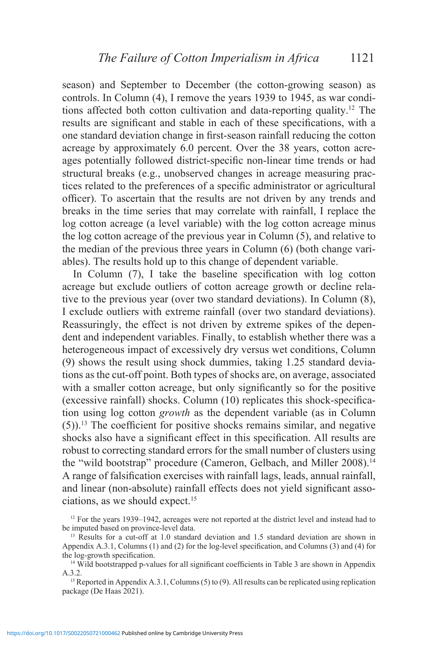season) and September to December (the cotton-growing season) as controls. In Column (4), I remove the years 1939 to 1945, as war conditions affected both cotton cultivation and data-reporting quality.12 The results are significant and stable in each of these specifications, with a one standard deviation change in first-season rainfall reducing the cotton acreage by approximately 6.0 percent. Over the 38 years, cotton acreages potentially followed district-specific non-linear time trends or had structural breaks (e.g., unobserved changes in acreage measuring practices related to the preferences of a specific administrator or agricultural officer). To ascertain that the results are not driven by any trends and breaks in the time series that may correlate with rainfall, I replace the log cotton acreage (a level variable) with the log cotton acreage minus the log cotton acreage of the previous year in Column (5), and relative to the median of the previous three years in Column (6) (both change variables). The results hold up to this change of dependent variable.

In Column (7), I take the baseline specification with log cotton acreage but exclude outliers of cotton acreage growth or decline relative to the previous year (over two standard deviations). In Column (8), I exclude outliers with extreme rainfall (over two standard deviations). Reassuringly, the effect is not driven by extreme spikes of the dependent and independent variables. Finally, to establish whether there was a heterogeneous impact of excessively dry versus wet conditions, Column (9) shows the result using shock dummies, taking 1.25 standard deviations as the cut-off point. Both types of shocks are, on average, associated with a smaller cotton acreage, but only significantly so for the positive (excessive rainfall) shocks. Column (10) replicates this shock-specification using log cotton *growth* as the dependent variable (as in Column  $(5)$ ).<sup>13</sup> The coefficient for positive shocks remains similar, and negative shocks also have a significant effect in this specification. All results are robust to correcting standard errors for the small number of clusters using the "wild bootstrap" procedure (Cameron, Gelbach, and Miller 2008).14 A range of falsification exercises with rainfall lags, leads, annual rainfall, and linear (non-absolute) rainfall effects does not yield significant associations, as we should expect.15

<sup>&</sup>lt;sup>12</sup> For the years 1939–1942, acreages were not reported at the district level and instead had to be imputed based on province-level data.

<sup>&</sup>lt;sup>13</sup> Results for a cut-off at 1.0 standard deviation and 1.5 standard deviation are shown in Appendix A.3.1, Columns (1) and (2) for the log-level specification, and Columns (3) and (4) for the log-growth specification.

<sup>&</sup>lt;sup>14</sup> Wild bootstrapped p-values for all significant coefficients in Table 3 are shown in Appendix A.3.2.<br><sup>15</sup> Reported in Appendix A.3.1, Columns (5) to (9). All results can be replicated using replication

package (De Haas 2021).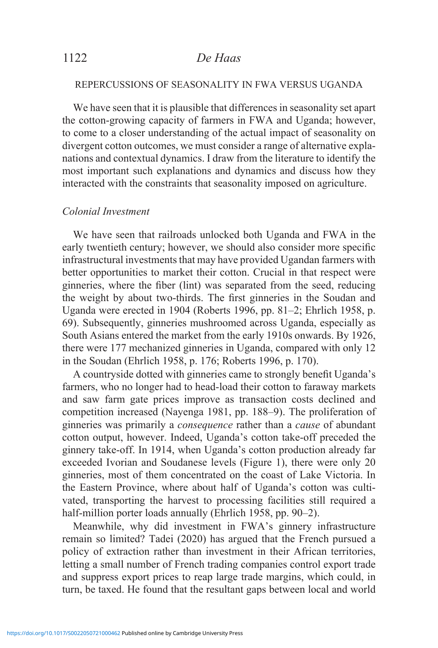### REPERCUSSIONS OF SEASONALITY IN FWA VERSUS UGANDA

We have seen that it is plausible that differences in seasonality set apart the cotton-growing capacity of farmers in FWA and Uganda; however, to come to a closer understanding of the actual impact of seasonality on divergent cotton outcomes, we must consider a range of alternative explanations and contextual dynamics. I draw from the literature to identify the most important such explanations and dynamics and discuss how they interacted with the constraints that seasonality imposed on agriculture.

### *Colonial Investment*

We have seen that railroads unlocked both Uganda and FWA in the early twentieth century; however, we should also consider more specific infrastructural investments that may have provided Ugandan farmers with better opportunities to market their cotton. Crucial in that respect were ginneries, where the fiber (lint) was separated from the seed, reducing the weight by about two-thirds. The first ginneries in the Soudan and Uganda were erected in 1904 (Roberts 1996, pp. 81–2; Ehrlich 1958, p. 69). Subsequently, ginneries mushroomed across Uganda, especially as South Asians entered the market from the early 1910s onwards. By 1926, there were 177 mechanized ginneries in Uganda, compared with only 12 in the Soudan (Ehrlich 1958, p. 176; Roberts 1996, p. 170).

A countryside dotted with ginneries came to strongly benefit Uganda's farmers, who no longer had to head-load their cotton to faraway markets and saw farm gate prices improve as transaction costs declined and competition increased (Nayenga 1981, pp. 188–9). The proliferation of ginneries was primarily a *consequence* rather than a *cause* of abundant cotton output, however. Indeed, Uganda's cotton take-off preceded the ginnery take-off. In 1914, when Uganda's cotton production already far exceeded Ivorian and Soudanese levels (Figure 1), there were only 20 ginneries, most of them concentrated on the coast of Lake Victoria. In the Eastern Province, where about half of Uganda's cotton was cultivated, transporting the harvest to processing facilities still required a half-million porter loads annually (Ehrlich 1958, pp. 90–2).

Meanwhile, why did investment in FWA's ginnery infrastructure remain so limited? Tadei (2020) has argued that the French pursued a policy of extraction rather than investment in their African territories, letting a small number of French trading companies control export trade and suppress export prices to reap large trade margins, which could, in turn, be taxed. He found that the resultant gaps between local and world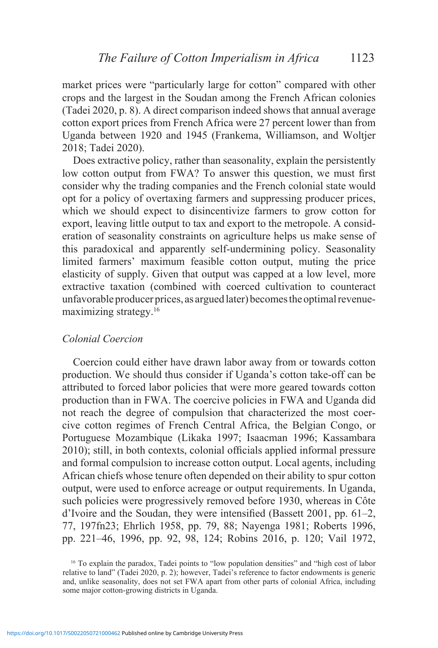market prices were "particularly large for cotton" compared with other crops and the largest in the Soudan among the French African colonies (Tadei 2020, p. 8). A direct comparison indeed shows that annual average cotton export prices from French Africa were 27 percent lower than from Uganda between 1920 and 1945 (Frankema, Williamson, and Woltjer 2018; Tadei 2020).

Does extractive policy, rather than seasonality, explain the persistently low cotton output from FWA? To answer this question, we must first consider why the trading companies and the French colonial state would opt for a policy of overtaxing farmers and suppressing producer prices, which we should expect to disincentivize farmers to grow cotton for export, leaving little output to tax and export to the metropole. A consideration of seasonality constraints on agriculture helps us make sense of this paradoxical and apparently self-undermining policy. Seasonality limited farmers' maximum feasible cotton output, muting the price elasticity of supply. Given that output was capped at a low level, more extractive taxation (combined with coerced cultivation to counteract unfavorable producer prices, as argued later) becomes the optimal revenuemaximizing strategy.16

### *Colonial Coercion*

Coercion could either have drawn labor away from or towards cotton production. We should thus consider if Uganda's cotton take-off can be attributed to forced labor policies that were more geared towards cotton production than in FWA. The coercive policies in FWA and Uganda did not reach the degree of compulsion that characterized the most coercive cotton regimes of French Central Africa, the Belgian Congo, or Portuguese Mozambique (Likaka 1997; Isaacman 1996; Kassambara 2010); still, in both contexts, colonial officials applied informal pressure and formal compulsion to increase cotton output. Local agents, including African chiefs whose tenure often depended on their ability to spur cotton output, were used to enforce acreage or output requirements. In Uganda, such policies were progressively removed before 1930, whereas in Côte d'Ivoire and the Soudan, they were intensified (Bassett 2001, pp. 61–2, 77, 197fn23; Ehrlich 1958, pp. 79, 88; Nayenga 1981; Roberts 1996, pp. 221–46, 1996, pp. 92, 98, 124; Robins 2016, p. 120; Vail 1972,

<sup>16</sup> To explain the paradox, Tadei points to "low population densities" and "high cost of labor relative to land" (Tadei 2020, p. 2); however, Tadei's reference to factor endowments is generic and, unlike seasonality, does not set FWA apart from other parts of colonial Africa, including some major cotton-growing districts in Uganda.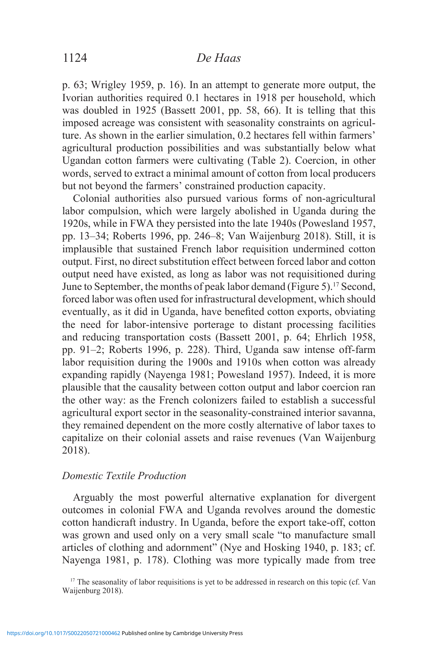p. 63; Wrigley 1959, p. 16). In an attempt to generate more output, the Ivorian authorities required 0.1 hectares in 1918 per household, which was doubled in 1925 (Bassett 2001, pp. 58, 66). It is telling that this imposed acreage was consistent with seasonality constraints on agriculture. As shown in the earlier simulation, 0.2 hectares fell within farmers' agricultural production possibilities and was substantially below what Ugandan cotton farmers were cultivating (Table 2). Coercion, in other words, served to extract a minimal amount of cotton from local producers but not beyond the farmers' constrained production capacity.

Colonial authorities also pursued various forms of non-agricultural labor compulsion, which were largely abolished in Uganda during the 1920s, while in FWA they persisted into the late 1940s (Powesland 1957, pp. 13–34; Roberts 1996, pp. 246–8; Van Waijenburg 2018). Still, it is implausible that sustained French labor requisition undermined cotton output. First, no direct substitution effect between forced labor and cotton output need have existed, as long as labor was not requisitioned during June to September, the months of peak labor demand (Figure 5).<sup>17</sup> Second, forced labor was often used for infrastructural development, which should eventually, as it did in Uganda, have benefited cotton exports, obviating the need for labor-intensive porterage to distant processing facilities and reducing transportation costs (Bassett 2001, p. 64; Ehrlich 1958, pp. 91–2; Roberts 1996, p. 228). Third, Uganda saw intense off-farm labor requisition during the 1900s and 1910s when cotton was already expanding rapidly (Nayenga 1981; Powesland 1957). Indeed, it is more plausible that the causality between cotton output and labor coercion ran the other way: as the French colonizers failed to establish a successful agricultural export sector in the seasonality-constrained interior savanna, they remained dependent on the more costly alternative of labor taxes to capitalize on their colonial assets and raise revenues (Van Waijenburg 2018).

### *Domestic Textile Production*

Arguably the most powerful alternative explanation for divergent outcomes in colonial FWA and Uganda revolves around the domestic cotton handicraft industry. In Uganda, before the export take-off, cotton was grown and used only on a very small scale "to manufacture small articles of clothing and adornment" (Nye and Hosking 1940, p. 183; cf. Nayenga 1981, p. 178). Clothing was more typically made from tree

<sup>17</sup> The seasonality of labor requisitions is yet to be addressed in research on this topic (cf. Van Waijenburg 2018).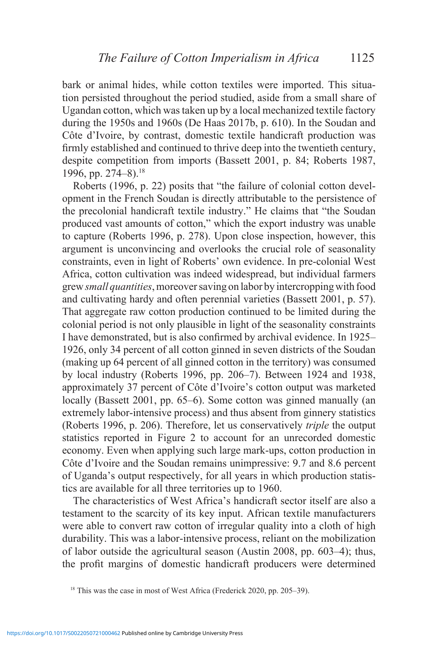bark or animal hides, while cotton textiles were imported. This situation persisted throughout the period studied, aside from a small share of Ugandan cotton, which was taken up by a local mechanized textile factory during the 1950s and 1960s (De Haas 2017b, p. 610). In the Soudan and Côte d'Ivoire, by contrast, domestic textile handicraft production was firmly established and continued to thrive deep into the twentieth century, despite competition from imports (Bassett 2001, p. 84; Roberts 1987, 1996, pp. 274–8).<sup>18</sup>

Roberts (1996, p. 22) posits that "the failure of colonial cotton development in the French Soudan is directly attributable to the persistence of the precolonial handicraft textile industry." He claims that "the Soudan produced vast amounts of cotton," which the export industry was unable to capture (Roberts 1996, p. 278). Upon close inspection, however, this argument is unconvincing and overlooks the crucial role of seasonality constraints, even in light of Roberts' own evidence. In pre-colonial West Africa, cotton cultivation was indeed widespread, but individual farmers grew *small quantities*, moreover saving on labor by intercropping with food and cultivating hardy and often perennial varieties (Bassett 2001, p. 57). That aggregate raw cotton production continued to be limited during the colonial period is not only plausible in light of the seasonality constraints I have demonstrated, but is also confirmed by archival evidence. In 1925– 1926, only 34 percent of all cotton ginned in seven districts of the Soudan (making up 64 percent of all ginned cotton in the territory) was consumed by local industry (Roberts 1996, pp. 206–7). Between 1924 and 1938, approximately 37 percent of Côte d'Ivoire's cotton output was marketed locally (Bassett 2001, pp. 65–6). Some cotton was ginned manually (an extremely labor-intensive process) and thus absent from ginnery statistics (Roberts 1996, p. 206). Therefore, let us conservatively *triple* the output statistics reported in Figure 2 to account for an unrecorded domestic economy. Even when applying such large mark-ups, cotton production in Côte d'Ivoire and the Soudan remains unimpressive: 9.7 and 8.6 percent of Uganda's output respectively, for all years in which production statistics are available for all three territories up to 1960.

The characteristics of West Africa's handicraft sector itself are also a testament to the scarcity of its key input. African textile manufacturers were able to convert raw cotton of irregular quality into a cloth of high durability. This was a labor-intensive process, reliant on the mobilization of labor outside the agricultural season (Austin 2008, pp. 603–4); thus, the profit margins of domestic handicraft producers were determined

<sup>&</sup>lt;sup>18</sup> This was the case in most of West Africa (Frederick 2020, pp. 205–39).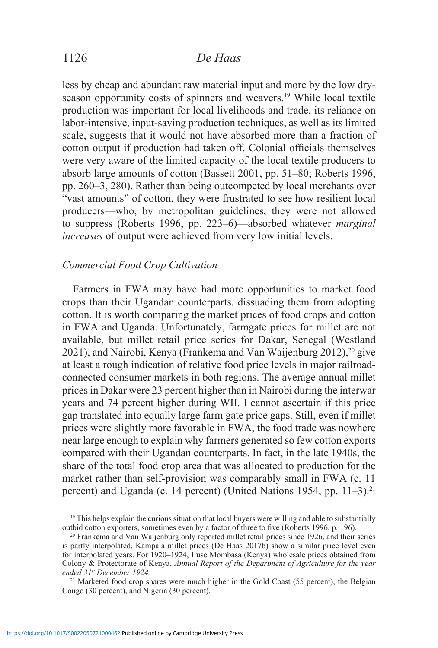less by cheap and abundant raw material input and more by the low dryseason opportunity costs of spinners and weavers.<sup>19</sup> While local textile production was important for local livelihoods and trade, its reliance on labor-intensive, input-saving production techniques, as well as its limited scale, suggests that it would not have absorbed more than a fraction of cotton output if production had taken off. Colonial officials themselves were very aware of the limited capacity of the local textile producers to absorb large amounts of cotton (Bassett 2001, pp. 51–80; Roberts 1996, pp. 260–3, 280). Rather than being outcompeted by local merchants over "vast amounts" of cotton, they were frustrated to see how resilient local producers—who, by metropolitan guidelines, they were not allowed to suppress (Roberts 1996, pp. 223–6)—absorbed whatever *marginal increases* of output were achieved from very low initial levels.

### *Commercial Food Crop Cultivation*

Farmers in FWA may have had more opportunities to market food crops than their Ugandan counterparts, dissuading them from adopting cotton. It is worth comparing the market prices of food crops and cotton in FWA and Uganda. Unfortunately, farmgate prices for millet are not available, but millet retail price series for Dakar, Senegal (Westland 2021), and Nairobi, Kenya (Frankema and Van Waijenburg 2012),20 give at least a rough indication of relative food price levels in major railroadconnected consumer markets in both regions. The average annual millet prices in Dakar were 23 percent higher than in Nairobi during the interwar years and 74 percent higher during WII. I cannot ascertain if this price gap translated into equally large farm gate price gaps. Still, even if millet prices were slightly more favorable in FWA, the food trade was nowhere near large enough to explain why farmers generated so few cotton exports compared with their Ugandan counterparts. In fact, in the late 1940s, the share of the total food crop area that was allocated to production for the market rather than self-provision was comparably small in FWA (c. 11 percent) and Uganda (c. 14 percent) (United Nations 1954, pp. 11–3).<sup>21</sup>

 $19$  This helps explain the curious situation that local buyers were willing and able to substantially outbid cotton exporters, sometimes even by a factor of three to five (Roberts 1996, p. 196).

<sup>20</sup> Frankema and Van Waijenburg only reported millet retail prices since 1926, and their series is partly interpolated. Kampala millet prices (De Haas 2017b) show a similar price level even for interpolated years. For 1920–1924, I use Mombasa (Kenya) wholesale prices obtained from Colony & Protectorate of Kenya, *Annual Report of the Department of Agriculture for the year ended 31st December 1924.* 

<sup>&</sup>lt;sup>21</sup> Marketed food crop shares were much higher in the Gold Coast (55 percent), the Belgian Congo (30 percent), and Nigeria (30 percent).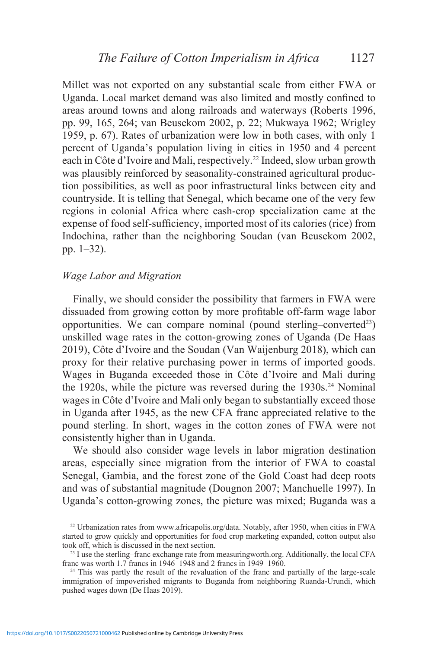Millet was not exported on any substantial scale from either FWA or Uganda. Local market demand was also limited and mostly confined to areas around towns and along railroads and waterways (Roberts 1996, pp. 99, 165, 264; van Beusekom 2002, p. 22; Mukwaya 1962; Wrigley 1959, p. 67). Rates of urbanization were low in both cases, with only 1 percent of Uganda's population living in cities in 1950 and 4 percent each in Côte d'Ivoire and Mali, respectively.22 Indeed, slow urban growth was plausibly reinforced by seasonality-constrained agricultural production possibilities, as well as poor infrastructural links between city and countryside. It is telling that Senegal, which became one of the very few regions in colonial Africa where cash-crop specialization came at the expense of food self-sufficiency, imported most of its calories (rice) from Indochina, rather than the neighboring Soudan (van Beusekom 2002, pp. 1–32).

### *Wage Labor and Migration*

Finally, we should consider the possibility that farmers in FWA were dissuaded from growing cotton by more profitable off-farm wage labor opportunities. We can compare nominal (pound sterling–converted $^{23}$ ) unskilled wage rates in the cotton-growing zones of Uganda (De Haas 2019), Côte d'Ivoire and the Soudan (Van Waijenburg 2018), which can proxy for their relative purchasing power in terms of imported goods. Wages in Buganda exceeded those in Côte d'Ivoire and Mali during the 1920s, while the picture was reversed during the  $1930s<sup>24</sup>$  Nominal wages in Côte d'Ivoire and Mali only began to substantially exceed those in Uganda after 1945, as the new CFA franc appreciated relative to the pound sterling. In short, wages in the cotton zones of FWA were not consistently higher than in Uganda.

We should also consider wage levels in labor migration destination areas, especially since migration from the interior of FWA to coastal Senegal, Gambia, and the forest zone of the Gold Coast had deep roots and was of substantial magnitude (Dougnon 2007; Manchuelle 1997). In Uganda's cotton-growing zones, the picture was mixed; Buganda was a

<sup>22</sup> Urbanization rates from www.africapolis.org/data. Notably, after 1950, when cities in FWA started to grow quickly and opportunities for food crop marketing expanded, cotton output also took off, which is discussed in the next section.

<sup>&</sup>lt;sup>23</sup> I use the sterling–franc exchange rate from measuringworth.org. Additionally, the local CFA franc was worth 1.7 francs in 1946–1948 and 2 francs in 1949–1960.

 $24$  This was partly the result of the revaluation of the franc and partially of the large-scale immigration of impoverished migrants to Buganda from neighboring Ruanda-Urundi, which pushed wages down (De Haas 2019).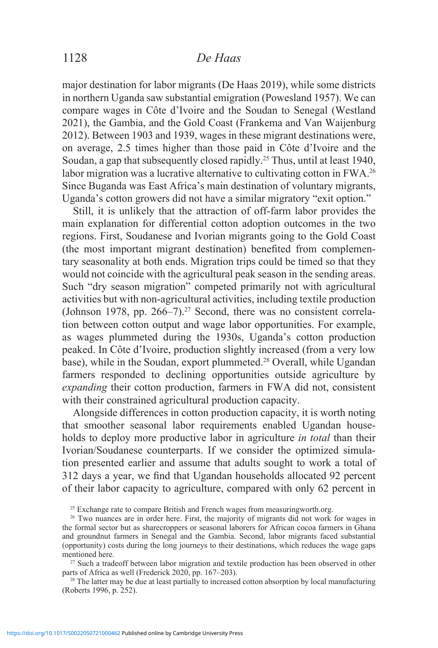# 1128 *De Haas*

major destination for labor migrants (De Haas 2019), while some districts in northern Uganda saw substantial emigration (Powesland 1957). We can compare wages in Côte d'Ivoire and the Soudan to Senegal (Westland 2021), the Gambia, and the Gold Coast (Frankema and Van Waijenburg 2012). Between 1903 and 1939, wages in these migrant destinations were, on average, 2.5 times higher than those paid in Côte d'Ivoire and the Soudan, a gap that subsequently closed rapidly.25 Thus, until at least 1940, labor migration was a lucrative alternative to cultivating cotton in FWA.<sup>26</sup> Since Buganda was East Africa's main destination of voluntary migrants, Uganda's cotton growers did not have a similar migratory "exit option."

Still, it is unlikely that the attraction of off-farm labor provides the main explanation for differential cotton adoption outcomes in the two regions. First, Soudanese and Ivorian migrants going to the Gold Coast (the most important migrant destination) benefited from complementary seasonality at both ends. Migration trips could be timed so that they would not coincide with the agricultural peak season in the sending areas. Such "dry season migration" competed primarily not with agricultural activities but with non-agricultural activities, including textile production (Johnson 1978, pp. 266–7).<sup>27</sup> Second, there was no consistent correlation between cotton output and wage labor opportunities. For example, as wages plummeted during the 1930s, Uganda's cotton production peaked. In Côte d'Ivoire, production slightly increased (from a very low base), while in the Soudan, export plummeted.<sup>28</sup> Overall, while Ugandan farmers responded to declining opportunities outside agriculture by *expanding* their cotton production, farmers in FWA did not, consistent with their constrained agricultural production capacity.

Alongside differences in cotton production capacity, it is worth noting that smoother seasonal labor requirements enabled Ugandan households to deploy more productive labor in agriculture *in total* than their Ivorian/Soudanese counterparts. If we consider the optimized simulation presented earlier and assume that adults sought to work a total of 312 days a year, we find that Ugandan households allocated 92 percent of their labor capacity to agriculture, compared with only 62 percent in

 $25$  Exchange rate to compare British and French wages from measuringworth.org.

parts of Africa as well (Frederick 2020, pp. 167–203).

 $28$  The latter may be due at least partially to increased cotton absorption by local manufacturing (Roberts 1996, p. 252).

<sup>&</sup>lt;sup>26</sup> Two nuances are in order here. First, the majority of migrants did not work for wages in the formal sector but as sharecroppers or seasonal laborers for African cocoa farmers in Ghana and groundnut farmers in Senegal and the Gambia. Second, labor migrants faced substantial (opportunity) costs during the long journeys to their destinations, which reduces the wage gaps mentioned here.<br><sup>27</sup> Such a tradeoff between labor migration and textile production has been observed in other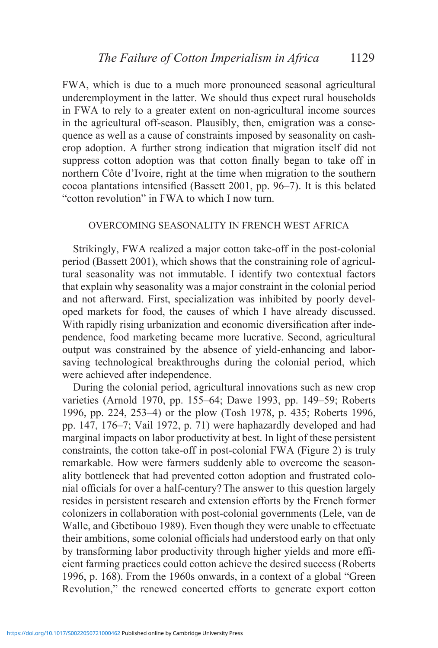FWA, which is due to a much more pronounced seasonal agricultural underemployment in the latter. We should thus expect rural households in FWA to rely to a greater extent on non-agricultural income sources in the agricultural off-season. Plausibly, then, emigration was a consequence as well as a cause of constraints imposed by seasonality on cashcrop adoption. A further strong indication that migration itself did not suppress cotton adoption was that cotton finally began to take off in northern Côte d'Ivoire, right at the time when migration to the southern cocoa plantations intensified (Bassett 2001, pp. 96–7). It is this belated "cotton revolution" in FWA to which I now turn.

### OVERCOMING SEASONALITY IN FRENCH WEST AFRICA

Strikingly, FWA realized a major cotton take-off in the post-colonial period (Bassett 2001), which shows that the constraining role of agricultural seasonality was not immutable. I identify two contextual factors that explain why seasonality was a major constraint in the colonial period and not afterward. First, specialization was inhibited by poorly developed markets for food, the causes of which I have already discussed. With rapidly rising urbanization and economic diversification after independence, food marketing became more lucrative. Second, agricultural output was constrained by the absence of yield-enhancing and laborsaving technological breakthroughs during the colonial period, which were achieved after independence.

During the colonial period, agricultural innovations such as new crop varieties (Arnold 1970, pp. 155–64; Dawe 1993, pp. 149–59; Roberts 1996, pp. 224, 253–4) or the plow (Tosh 1978, p. 435; Roberts 1996, pp. 147, 176–7; Vail 1972, p. 71) were haphazardly developed and had marginal impacts on labor productivity at best. In light of these persistent constraints, the cotton take-off in post-colonial FWA (Figure 2) is truly remarkable. How were farmers suddenly able to overcome the seasonality bottleneck that had prevented cotton adoption and frustrated colonial officials for over a half-century? The answer to this question largely resides in persistent research and extension efforts by the French former colonizers in collaboration with post-colonial governments (Lele, van de Walle, and Gbetibouo 1989). Even though they were unable to effectuate their ambitions, some colonial officials had understood early on that only by transforming labor productivity through higher yields and more efficient farming practices could cotton achieve the desired success (Roberts 1996, p. 168). From the 1960s onwards, in a context of a global "Green Revolution," the renewed concerted efforts to generate export cotton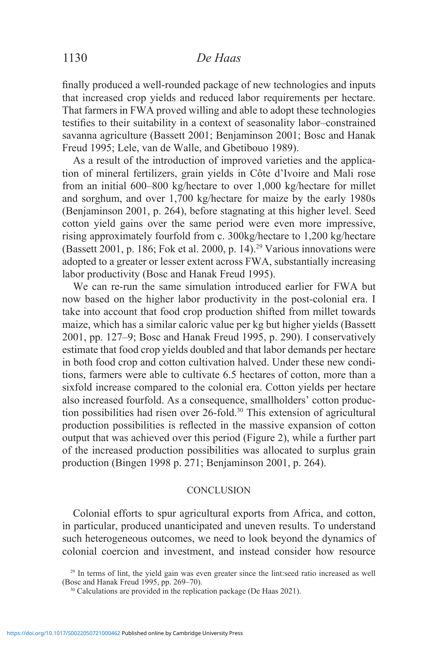finally produced a well-rounded package of new technologies and inputs that increased crop yields and reduced labor requirements per hectare. That farmers in FWA proved willing and able to adopt these technologies testifies to their suitability in a context of seasonality labor–constrained savanna agriculture (Bassett 2001; Benjaminson 2001; Bosc and Hanak Freud 1995; Lele, van de Walle, and Gbetibouo 1989).

As a result of the introduction of improved varieties and the application of mineral fertilizers, grain yields in Côte d'Ivoire and Mali rose from an initial 600–800 kg/hectare to over 1,000 kg/hectare for millet and sorghum, and over 1,700 kg/hectare for maize by the early 1980s (Benjaminson 2001, p. 264), before stagnating at this higher level. Seed cotton yield gains over the same period were even more impressive, rising approximately fourfold from c. 300kg/hectare to 1,200 kg/hectare (Bassett 2001, p. 186; Fok et al. 2000, p. 14).<sup>29</sup> Various innovations were adopted to a greater or lesser extent across FWA, substantially increasing labor productivity (Bosc and Hanak Freud 1995).

We can re-run the same simulation introduced earlier for FWA but now based on the higher labor productivity in the post-colonial era. I take into account that food crop production shifted from millet towards maize, which has a similar caloric value per kg but higher yields (Bassett 2001, pp. 127–9; Bosc and Hanak Freud 1995, p. 290). I conservatively estimate that food crop yields doubled and that labor demands per hectare in both food crop and cotton cultivation halved. Under these new conditions, farmers were able to cultivate 6.5 hectares of cotton, more than a sixfold increase compared to the colonial era. Cotton yields per hectare also increased fourfold. As a consequence, smallholders' cotton production possibilities had risen over 26-fold.<sup>30</sup> This extension of agricultural production possibilities is reflected in the massive expansion of cotton output that was achieved over this period (Figure 2), while a further part of the increased production possibilities was allocated to surplus grain production (Bingen 1998 p. 271; Benjaminson 2001, p. 264).

### **CONCLUSION**

Colonial efforts to spur agricultural exports from Africa, and cotton, in particular, produced unanticipated and uneven results. To understand such heterogeneous outcomes, we need to look beyond the dynamics of colonial coercion and investment, and instead consider how resource

<sup>&</sup>lt;sup>29</sup> In terms of lint, the yield gain was even greater since the lint:seed ratio increased as well (Bosc and Hanak Freud 1995, pp. 269–70).

<sup>&</sup>lt;sup>30</sup> Calculations are provided in the replication package (De Haas 2021).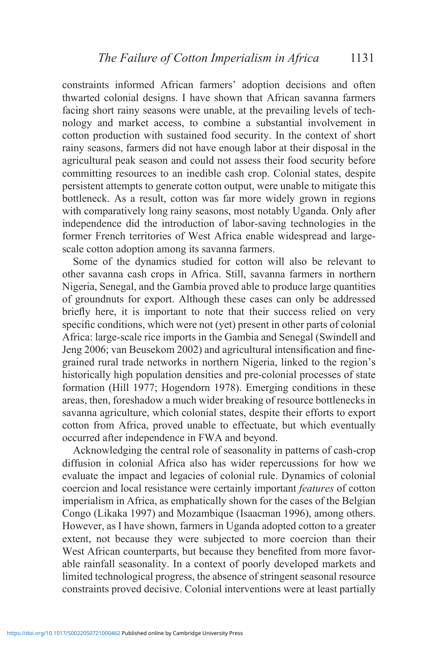constraints informed African farmers' adoption decisions and often thwarted colonial designs. I have shown that African savanna farmers facing short rainy seasons were unable, at the prevailing levels of technology and market access, to combine a substantial involvement in cotton production with sustained food security. In the context of short rainy seasons, farmers did not have enough labor at their disposal in the agricultural peak season and could not assess their food security before committing resources to an inedible cash crop. Colonial states, despite persistent attempts to generate cotton output, were unable to mitigate this bottleneck. As a result, cotton was far more widely grown in regions with comparatively long rainy seasons, most notably Uganda. Only after independence did the introduction of labor-saving technologies in the former French territories of West Africa enable widespread and largescale cotton adoption among its savanna farmers.

Some of the dynamics studied for cotton will also be relevant to other savanna cash crops in Africa. Still, savanna farmers in northern Nigeria, Senegal, and the Gambia proved able to produce large quantities of groundnuts for export. Although these cases can only be addressed briefly here, it is important to note that their success relied on very specific conditions, which were not (yet) present in other parts of colonial Africa: large-scale rice imports in the Gambia and Senegal (Swindell and Jeng 2006; van Beusekom 2002) and agricultural intensification and finegrained rural trade networks in northern Nigeria, linked to the region's historically high population densities and pre-colonial processes of state formation (Hill 1977; Hogendorn 1978). Emerging conditions in these areas, then, foreshadow a much wider breaking of resource bottlenecks in savanna agriculture, which colonial states, despite their efforts to export cotton from Africa, proved unable to effectuate, but which eventually occurred after independence in FWA and beyond.

Acknowledging the central role of seasonality in patterns of cash-crop diffusion in colonial Africa also has wider repercussions for how we evaluate the impact and legacies of colonial rule. Dynamics of colonial coercion and local resistance were certainly important *features* of cotton imperialism in Africa, as emphatically shown for the cases of the Belgian Congo (Likaka 1997) and Mozambique (Isaacman 1996), among others. However, as I have shown, farmers in Uganda adopted cotton to a greater extent, not because they were subjected to more coercion than their West African counterparts, but because they benefited from more favorable rainfall seasonality. In a context of poorly developed markets and limited technological progress, the absence of stringent seasonal resource constraints proved decisive. Colonial interventions were at least partially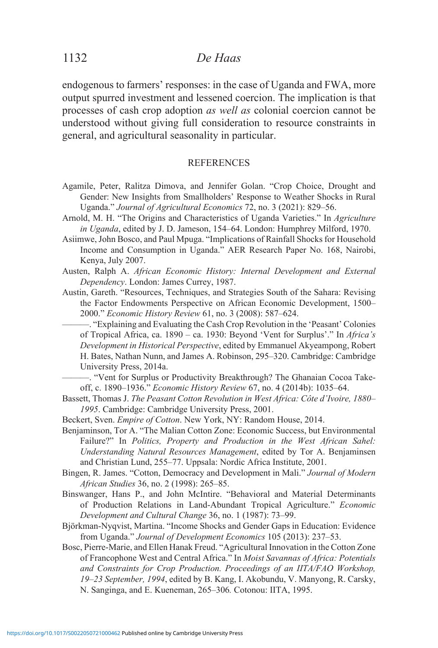endogenous to farmers' responses: in the case of Uganda and FWA, more output spurred investment and lessened coercion. The implication is that processes of cash crop adoption *as well as* colonial coercion cannot be understood without giving full consideration to resource constraints in general, and agricultural seasonality in particular.

#### **REFERENCES**

- Agamile, Peter, Ralitza Dimova, and Jennifer Golan. "Crop Choice, Drought and Gender: New Insights from Smallholders' Response to Weather Shocks in Rural Uganda." *Journal of Agricultural Economics* 72, no. 3 (2021): 829–56.
- Arnold, M. H. "The Origins and Characteristics of Uganda Varieties." In *Agriculture in Uganda*, edited by J. D. Jameson, 154–64. London: Humphrey Milford, 1970.
- Asiimwe, John Bosco, and Paul Mpuga. "Implications of Rainfall Shocks for Household Income and Consumption in Uganda." AER Research Paper No. 168, Nairobi, Kenya, July 2007.
- Austen, Ralph A. *African Economic History: Internal Development and External Dependency*. London: James Currey, 1987.
- Austin, Gareth. "Resources, Techniques, and Strategies South of the Sahara: Revising the Factor Endowments Perspective on African Economic Development, 1500– 2000." *Economic History Review* 61, no. 3 (2008): 587–624.
	- ———. "Explaining and Evaluating the Cash Crop Revolution in the 'Peasant' Colonies of Tropical Africa, ca. 1890 – ca. 1930: Beyond 'Vent for Surplus'." In *Africa's Development in Historical Perspective*, edited by Emmanuel Akyeampong, Robert H. Bates, Nathan Nunn, and James A. Robinson, 295–320. Cambridge: Cambridge University Press, 2014a.

———. "Vent for Surplus or Productivity Breakthrough? The Ghanaian Cocoa Takeoff, c. 1890–1936." *Economic History Review* 67, no. 4 (2014b): 1035–64.

- Bassett, Thomas J. *The Peasant Cotton Revolution in West Africa: Côte d'Ivoire, 1880– 1995*. Cambridge: Cambridge University Press, 2001.
- Beckert, Sven. *Empire of Cotton*. New York, NY: Random House, 2014.
- Benjaminson, Tor A. "The Malian Cotton Zone: Economic Success, but Environmental Failure?" In *Politics, Property and Production in the West African Sahel: Understanding Natural Resources Management*, edited by Tor A. Benjaminsen and Christian Lund, 255–77. Uppsala: Nordic Africa Institute, 2001.
- Bingen, R. James. "Cotton, Democracy and Development in Mali." *Journal of Modern African Studies* 36, no. 2 (1998): 265–85.
- Binswanger, Hans P., and John McIntire. "Behavioral and Material Determinants of Production Relations in Land-Abundant Tropical Agriculture." *Economic Development and Cultural Change* 36, no. 1 (1987): 73–99.
- Björkman-Nyqvist, Martina. "Income Shocks and Gender Gaps in Education: Evidence from Uganda." *Journal of Development Economics* 105 (2013): 237–53.
- Bosc, Pierre-Marie, and Ellen Hanak Freud. "Agricultural Innovation in the Cotton Zone of Francophone West and Central Africa." In *Moist Savannas of Africa: Potentials and Constraints for Crop Production. Proceedings of an IITA/FAO Workshop, 19–23 September, 1994*, edited by B. Kang, I. Akobundu, V. Manyong, R. Carsky, N. Sanginga, and E. Kueneman, 265–306*.* Cotonou: IITA, 1995.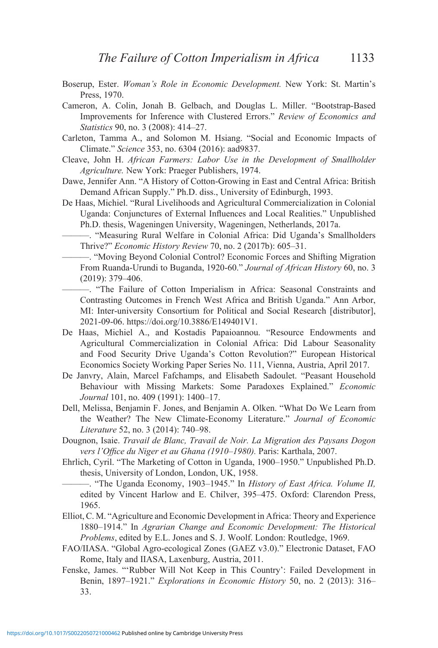- Boserup, Ester. *Woman's Role in Economic Development.* New York: St. Martin's Press, 1970.
- Cameron, A. Colin, Jonah B. Gelbach, and Douglas L. Miller. "Bootstrap-Based Improvements for Inference with Clustered Errors." *Review of Economics and Statistics* 90, no. 3 (2008): 414–27.
- Carleton, Tamma A., and Solomon M. Hsiang. "Social and Economic Impacts of Climate." *Science* 353, no. 6304 (2016): aad9837.
- Cleave, John H. *African Farmers: Labor Use in the Development of Smallholder Agriculture.* New York: Praeger Publishers, 1974.
- Dawe, Jennifer Ann. "A History of Cotton-Growing in East and Central Africa: British Demand African Supply." Ph.D. diss., University of Edinburgh, 1993.
- De Haas, Michiel. "Rural Livelihoods and Agricultural Commercialization in Colonial Uganda: Conjunctures of External Influences and Local Realities." Unpublished Ph.D. thesis, Wageningen University, Wageningen, Netherlands, 2017a.
	- ———. "Measuring Rural Welfare in Colonial Africa: Did Uganda's Smallholders Thrive?" *Economic History Review* 70, no. 2 (2017b): 605–31.
- ———. "Moving Beyond Colonial Control? Economic Forces and Shifting Migration From Ruanda-Urundi to Buganda, 1920-60." *Journal of African History* 60, no. 3 (2019): 379–406.
- ———. "The Failure of Cotton Imperialism in Africa: Seasonal Constraints and Contrasting Outcomes in French West Africa and British Uganda." Ann Arbor, MI: Inter-university Consortium for Political and Social Research [distributor], 2021-09-06. https://doi.org/10.3886/E149401V1.
- De Haas, Michiel A., and Kostadis Papaioannou. "Resource Endowments and Agricultural Commercialization in Colonial Africa: Did Labour Seasonality and Food Security Drive Uganda's Cotton Revolution?" European Historical Economics Society Working Paper Series No. 111, Vienna, Austria, April 2017.
- De Janvry, Alain, Marcel Fafchamps, and Elisabeth Sadoulet. "Peasant Household Behaviour with Missing Markets: Some Paradoxes Explained." *Economic Journal* 101, no. 409 (1991): 1400–17.
- Dell, Melissa, Benjamin F. Jones, and Benjamin A. Olken. "What Do We Learn from the Weather? The New Climate-Economy Literature." *Journal of Economic Literature* 52, no. 3 (2014): 740–98.
- Dougnon, Isaie. *Travail de Blanc, Travail de Noir. La Migration des Paysans Dogon vers l'Office du Niger et au Ghana (1910–1980).* Paris: Karthala, 2007.
- Ehrlich, Cyril. "The Marketing of Cotton in Uganda, 1900–1950." Unpublished Ph.D. thesis, University of London, London, UK, 1958.
- ———. "The Uganda Economy, 1903–1945." In *History of East Africa. Volume II,*  edited by Vincent Harlow and E. Chilver, 395–475. Oxford: Clarendon Press, 1965.
- Elliot, C. M. "Agriculture and Economic Development in Africa: Theory and Experience 1880–1914." In *Agrarian Change and Economic Development: The Historical Problems*, edited by E.L. Jones and S. J. Woolf. London: Routledge, 1969.
- FAO/IIASA. "Global Agro-ecological Zones (GAEZ v3.0)." Electronic Dataset, FAO Rome, Italy and IIASA, Laxenburg, Austria, 2011.
- Fenske, James. "'Rubber Will Not Keep in This Country': Failed Development in Benin, 1897–1921." *Explorations in Economic History* 50, no. 2 (2013): 316– 33.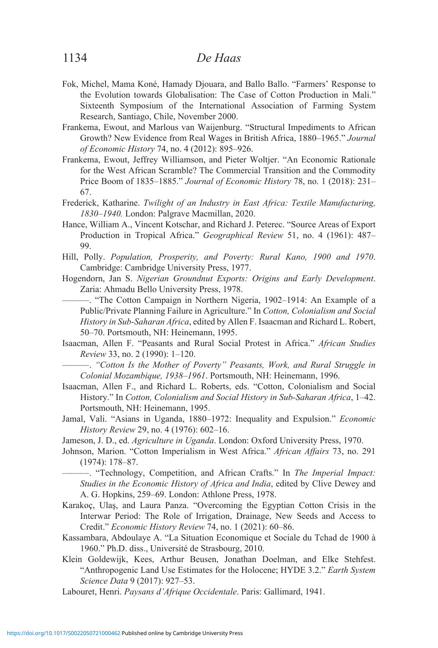- Fok, Michel, Mama Koné, Hamady Djouara, and Ballo Ballo. "Farmers' Response to the Evolution towards Globalisation: The Case of Cotton Production in Mali." Sixteenth Symposium of the International Association of Farming System Research, Santiago, Chile, November 2000.
- Frankema, Ewout, and Marlous van Waijenburg. "Structural Impediments to African Growth? New Evidence from Real Wages in British Africa, 1880–1965." *Journal of Economic History* 74, no. 4 (2012): 895–926.
- Frankema, Ewout, Jeffrey Williamson, and Pieter Woltjer. "An Economic Rationale for the West African Scramble? The Commercial Transition and the Commodity Price Boom of 1835–1885." *Journal of Economic History* 78, no. 1 (2018): 231– 67.
- Frederick, Katharine. *Twilight of an Industry in East Africa: Textile Manufacturing, 1830–1940.* London: Palgrave Macmillan, 2020.
- Hance, William A., Vincent Kotschar, and Richard J. Peterec. "Source Areas of Export Production in Tropical Africa." *Geographical Review* 51, no. 4 (1961): 487– 99.
- Hill, Polly. *Population, Prosperity, and Poverty: Rural Kano, 1900 and 1970*. Cambridge: Cambridge University Press, 1977.
- Hogendorn, Jan S. *Nigerian Groundnut Exports: Origins and Early Development*. Zaria: Ahmadu Bello University Press, 1978.
	- ———. "The Cotton Campaign in Northern Nigeria, 1902–1914: An Example of a Public/Private Planning Failure in Agriculture." In *Cotton, Colonialism and Social History in Sub-Saharan Africa*, edited by Allen F. Isaacman and Richard L. Robert, 50–70. Portsmouth, NH: Heinemann, 1995.
- Isaacman, Allen F. "Peasants and Rural Social Protest in Africa." *African Studies Review* 33, no. 2 (1990): 1–120.
	- ———. *"Cotton Is the Mother of Poverty" Peasants, Work, and Rural Struggle in Colonial Mozambique, 1938–1961*. Portsmouth, NH: Heinemann, 1996.
- Isaacman, Allen F., and Richard L. Roberts, eds. "Cotton, Colonialism and Social History." In *Cotton, Colonialism and Social History in Sub-Saharan Africa*, 1–42. Portsmouth, NH: Heinemann, 1995.
- Jamal, Vali. "Asians in Uganda, 1880–1972: Inequality and Expulsion." *Economic History Review* 29, no. 4 (1976): 602–16.
- Jameson, J. D., ed. *Agriculture in Uganda*. London: Oxford University Press, 1970.
- Johnson, Marion. "Cotton Imperialism in West Africa." *African Affairs* 73, no. 291 (1974): 178–87.
	- ———. "Technology, Competition, and African Crafts." In *The Imperial Impact: Studies in the Economic History of Africa and India*, edited by Clive Dewey and A. G. Hopkins, 259–69. London: Athlone Press, 1978.
- Karakoç, Ulaş, and Laura Panza. "Overcoming the Egyptian Cotton Crisis in the Interwar Period: The Role of Irrigation, Drainage, New Seeds and Access to Credit." *Economic History Review* 74, no. 1 (2021): 60–86.
- Kassambara, Abdoulaye A. "La Situation Economique et Sociale du Tchad de 1900 à 1960." Ph.D. diss., Université de Strasbourg, 2010.
- Klein Goldewijk, Kees, Arthur Beusen, Jonathan Doelman, and Elke Stehfest. "Anthropogenic Land Use Estimates for the Holocene; HYDE 3.2." *Earth System Science Data* 9 (2017): 927–53.

Labouret, Henri. *Paysans d'Afrique Occidentale*. Paris: Gallimard, 1941.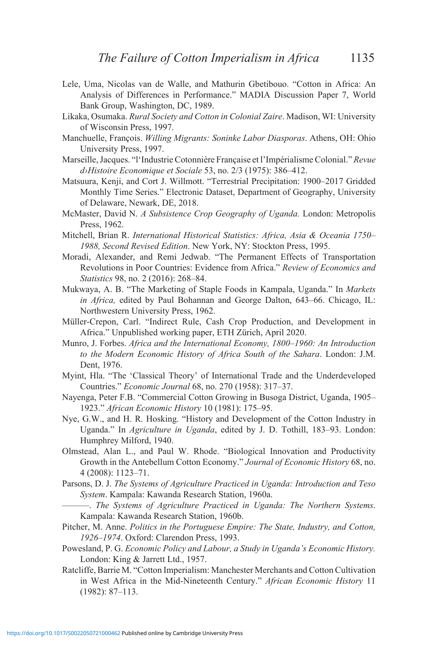- Lele, Uma, Nicolas van de Walle, and Mathurin Gbetibouo. "Cotton in Africa: An Analysis of Differences in Performance." MADIA Discussion Paper 7, World Bank Group, Washington, DC, 1989.
- Likaka, Osumaka. *Rural Society and Cotton in Colonial Zaire*. Madison, WI: University of Wisconsin Press, 1997.
- Manchuelle, François. *Willing Migrants: Soninke Labor Diasporas*. Athens, OH: Ohio University Press, 1997.
- Marseille, Jacques. "l'Industrie Cotonnière Française et l'Impérialisme Colonial." *Revue d›Histoire Economique et Sociale* 53, no. 2/3 (1975): 386–412.
- Matsuura, Kenji, and Cort J. Willmott. "Terrestrial Precipitation: 1900–2017 Gridded Monthly Time Series." Electronic Dataset, Department of Geography, University of Delaware, Newark, DE, 2018.
- McMaster, David N. *A Subsistence Crop Geography of Uganda.* London: Metropolis Press, 1962.
- Mitchell, Brian R. *International Historical Statistics: Africa, Asia & Oceania 1750– 1988, Second Revised Edition*. New York, NY: Stockton Press, 1995.
- Moradi, Alexander, and Remi Jedwab. "The Permanent Effects of Transportation Revolutions in Poor Countries: Evidence from Africa." *Review of Economics and Statistics* 98, no. 2 (2016): 268–84.
- Mukwaya, A. B. "The Marketing of Staple Foods in Kampala, Uganda." In *Markets in Africa,* edited by Paul Bohannan and George Dalton, 643–66. Chicago, IL: Northwestern University Press, 1962.
- Müller-Crepon, Carl. "Indirect Rule, Cash Crop Production, and Development in Africa." Unpublished working paper, ETH Zürich, April 2020.
- Munro, J. Forbes. *Africa and the International Economy, 1800–1960: An Introduction to the Modern Economic History of Africa South of the Sahara*. London: J.M. Dent, 1976.
- Myint, Hla. "The 'Classical Theory' of International Trade and the Underdeveloped Countries." *Economic Journal* 68, no. 270 (1958): 317–37.
- Nayenga, Peter F.B. "Commercial Cotton Growing in Busoga District, Uganda, 1905– 1923." *African Economic History* 10 (1981): 175–95.
- Nye, G.W., and H. R. Hosking. "History and Development of the Cotton Industry in Uganda." In *Agriculture in Uganda*, edited by J. D. Tothill, 183–93. London: Humphrey Milford, 1940.
- Olmstead, Alan L., and Paul W. Rhode. "Biological Innovation and Productivity Growth in the Antebellum Cotton Economy." *Journal of Economic History* 68, no. 4 (2008): 1123–71.
- Parsons, D. J. *The Systems of Agriculture Practiced in Uganda: Introduction and Teso System*. Kampala: Kawanda Research Station, 1960a.
	- ———. *The Systems of Agriculture Practiced in Uganda: The Northern Systems*. Kampala: Kawanda Research Station, 1960b.
- Pitcher, M. Anne. *Politics in the Portuguese Empire: The State, Industry, and Cotton, 1926–1974*. Oxford: Clarendon Press, 1993.
- Powesland, P. G. *Economic Policy and Labour, a Study in Uganda's Economic History.*  London: King & Jarrett Ltd., 1957.
- Ratcliffe, Barrie M. "Cotton Imperialism: Manchester Merchants and Cotton Cultivation in West Africa in the Mid-Nineteenth Century." *African Economic History* 11 (1982): 87–113.